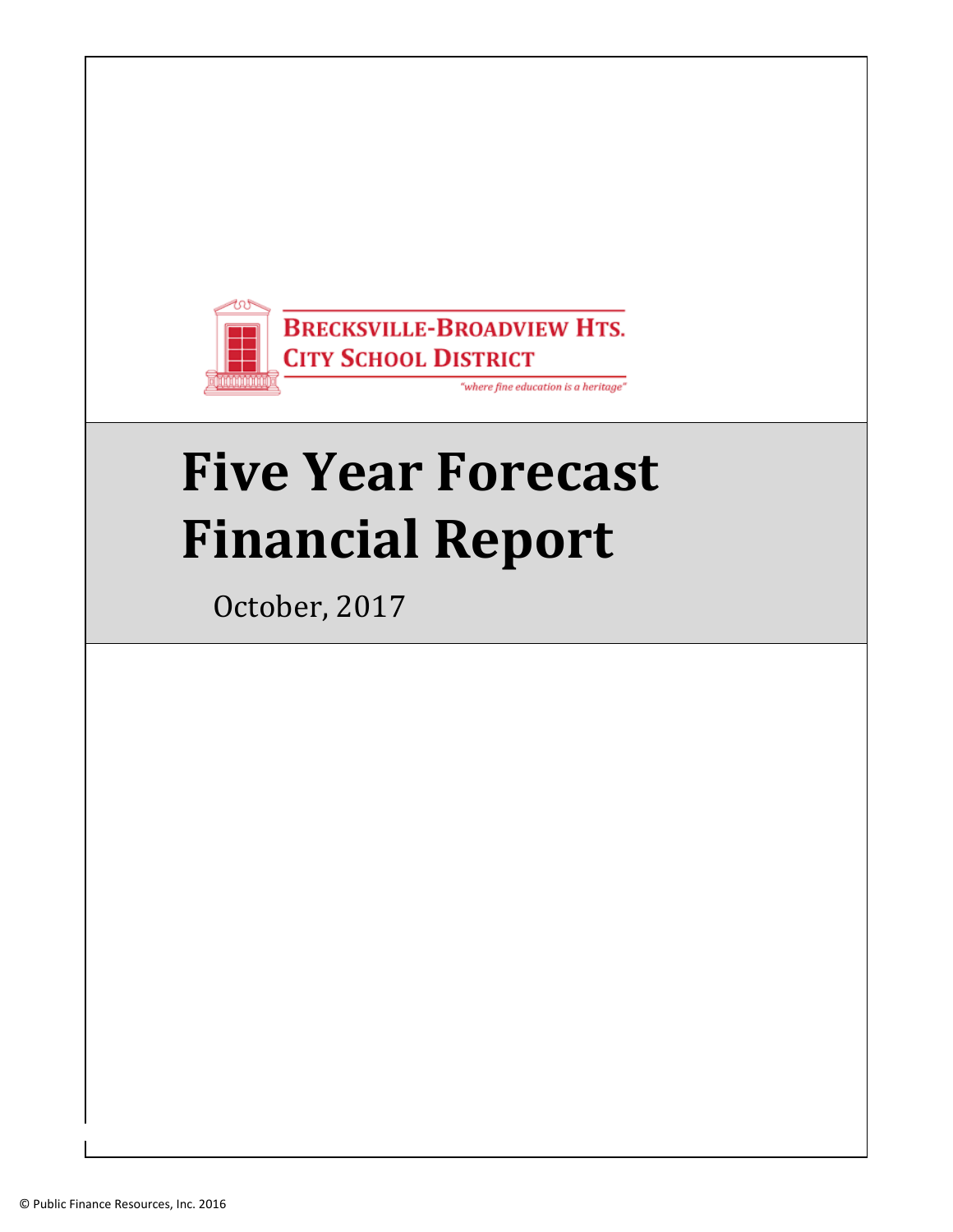

# **Five Year Forecast Financial Report**

October, 2017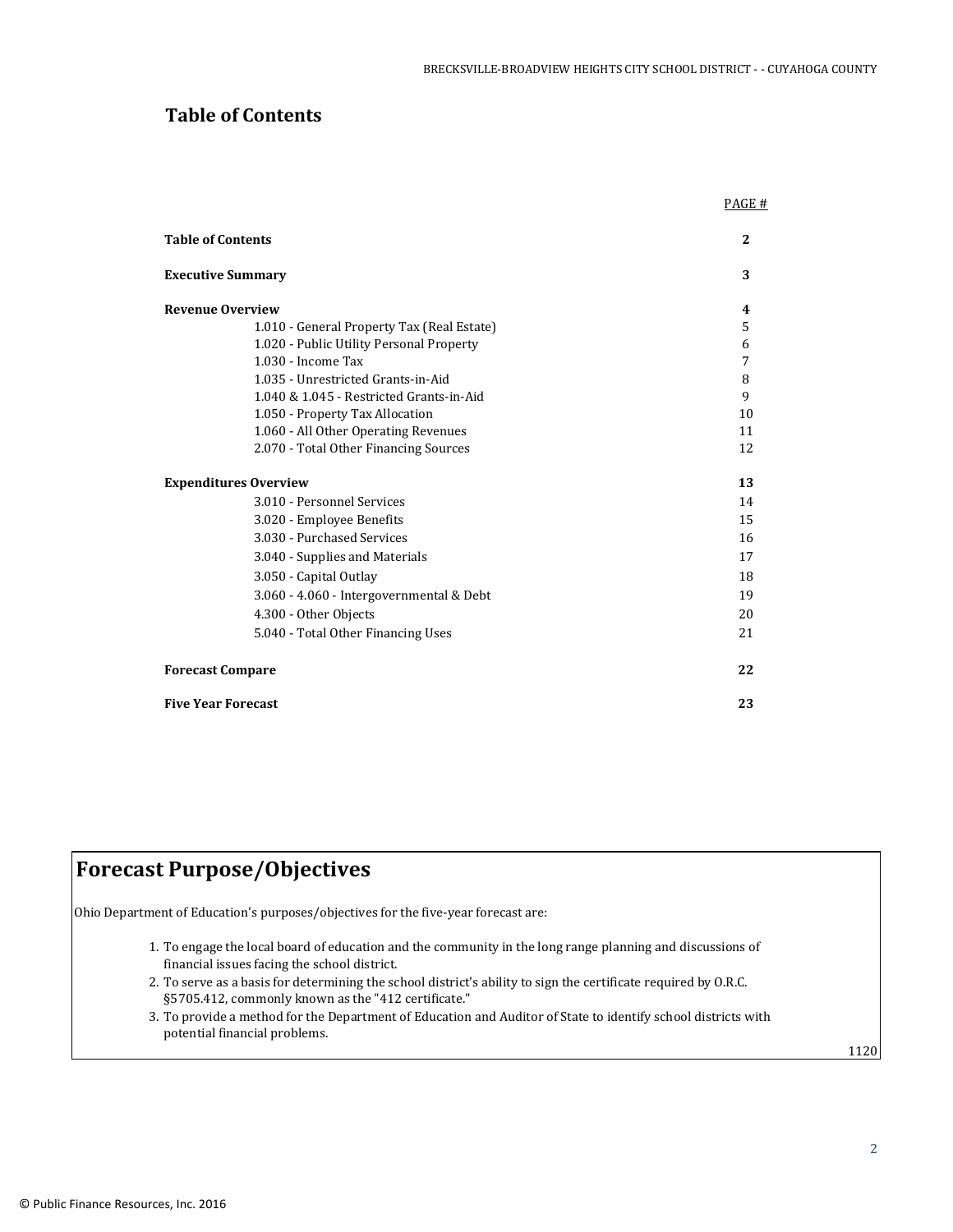## **Table of Contents**

|                                            | PAGE #       |
|--------------------------------------------|--------------|
| <b>Table of Contents</b>                   | $\mathbf{2}$ |
| <b>Executive Summary</b>                   | 3            |
| <b>Revenue Overview</b>                    | 4            |
| 1.010 - General Property Tax (Real Estate) | 5            |
| 1.020 - Public Utility Personal Property   | 6            |
| 1.030 - Income Tax                         | 7            |
| 1.035 - Unrestricted Grants-in-Aid         | 8            |
| 1.040 & 1.045 - Restricted Grants-in-Aid   | 9            |
| 1.050 - Property Tax Allocation            | 10           |
| 1.060 - All Other Operating Revenues       | 11           |
| 2.070 - Total Other Financing Sources      | 12           |
| <b>Expenditures Overview</b>               | 13           |
| 3.010 - Personnel Services                 | 14           |
| 3.020 - Employee Benefits                  | 15           |
| 3.030 - Purchased Services                 | 16           |
| 3.040 - Supplies and Materials             | 17           |
| 3.050 - Capital Outlay                     | 18           |
| 3.060 - 4.060 - Intergovernmental & Debt   | 19           |
| 4.300 - Other Objects                      | 20           |
| 5.040 - Total Other Financing Uses         | 21           |
| <b>Forecast Compare</b>                    | 22           |
| <b>Five Year Forecast</b>                  | 23           |

## **Forecast Purpose/Objectives**

Ohio Department of Education's purposes/objectives for the five-year forecast are:

- 1. To engage the local board of education and the community in the long range planning and discussions of financial issues facing the school district.
- 2. To serve as a basis for determining the school district's ability to sign the certificate required by O.R.C. §5705.412, commonly known as the "412 certificate."
- 3. To provide a method for the Department of Education and Auditor of State to identify school districts with potential financial problems.

1120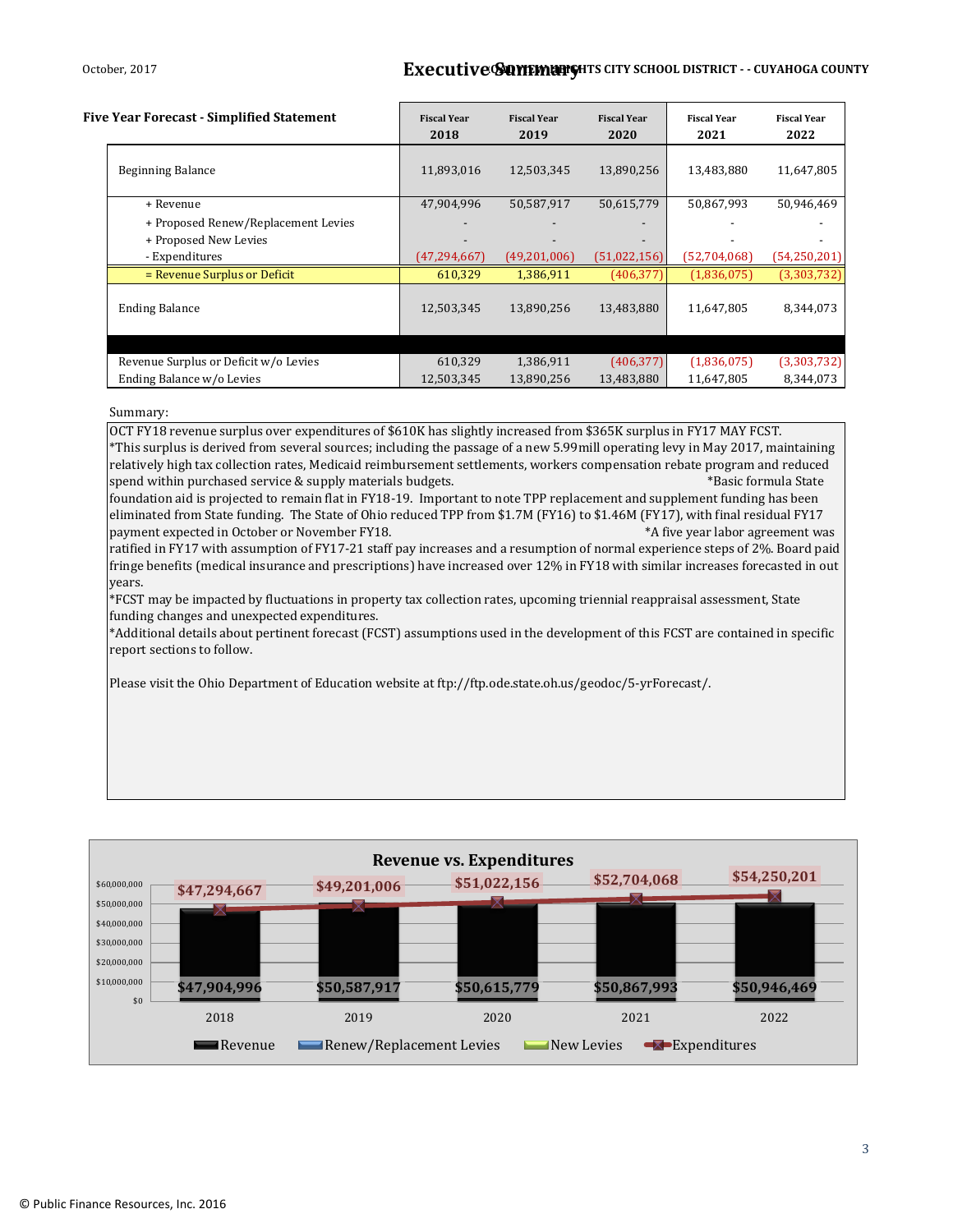#### October, 2017 **BRECULLIVE SUMMARTS CITY SCHOOL DISTRICT - - CUYAHOGA COUNTY**

| <b>Five Year Forecast - Simplified Statement</b>             | <b>Fiscal Year</b><br>2018 | <b>Fiscal Year</b><br>2019 | <b>Fiscal Year</b><br>2020 | <b>Fiscal Year</b><br>2021 | <b>Fiscal Year</b><br>2022 |  |
|--------------------------------------------------------------|----------------------------|----------------------------|----------------------------|----------------------------|----------------------------|--|
| <b>Beginning Balance</b>                                     | 11,893,016                 | 12,503,345                 | 13,890,256                 | 13,483,880                 | 11,647,805                 |  |
| + Revenue                                                    | 47,904,996                 | 50,587,917                 | 50,615,779                 | 50,867,993                 | 50,946,469                 |  |
| + Proposed Renew/Replacement Levies<br>+ Proposed New Levies |                            |                            |                            |                            |                            |  |
| - Expenditures                                               | (47, 294, 667)             | (49,201,006)               | (51,022,156)               | (52,704,068)               | (54, 250, 201)             |  |
| = Revenue Surplus or Deficit                                 | 610,329                    | 1,386,911                  | (406, 377)                 | (1,836,075)                | (3,303,732)                |  |
| <b>Ending Balance</b>                                        | 12,503,345                 | 13,890,256                 | 13,483,880                 | 11,647,805                 | 8,344,073                  |  |
|                                                              |                            |                            |                            |                            |                            |  |
| Revenue Surplus or Deficit w/o Levies                        | 610,329                    | 1,386,911                  | (406, 377)                 | (1,836,075)                | (3,303,732)                |  |
| Ending Balance w/o Levies                                    | 12,503,345                 | 13,890,256                 | 13,483,880                 | 11,647,805                 | 8,344,073                  |  |

#### Summary:

OCT FY18 revenue surplus over expenditures of \$610K has slightly increased from \$365K surplus in FY17 MAY FCST. \*This surplus is derived from several sources; including the passage of a new 5.99mill operating levy in May 2017, maintaining relatively high tax collection rates, Medicaid reimbursement settlements, workers compensation rebate program and reduced spend within purchased service & supply materials budgets. The service of the service of the service of the state foundation aid is projected to remain flat in FY18-19. Important to note TPP replacement and supplement funding has been eliminated from State funding. The State of Ohio reduced TPP from \$1.7M (FY16) to \$1.46M (FY17), with final residual FY17 payment expected in October or November FY18.  $*A$  five year labor agreement was ratified in FY17 with assumption of FY17-21 staff pay increases and a resumption of normal experience steps of 2%. Board paid fringe benefits (medical insurance and prescriptions) have increased over 12% in FY18 with similar increases forecasted in out years. \*FCST may be impacted by fluctuations in property tax collection rates, upcoming triennial reappraisal assessment, State funding changes and unexpected expenditures.

\*Additional details about pertinent forecast (FCST) assumptions used in the development of this FCST are contained in specific report sections to follow.

Please visit the Ohio Department of Education website at ftp://ftp.ode.state.oh.us/geodoc/5-yrForecast/.

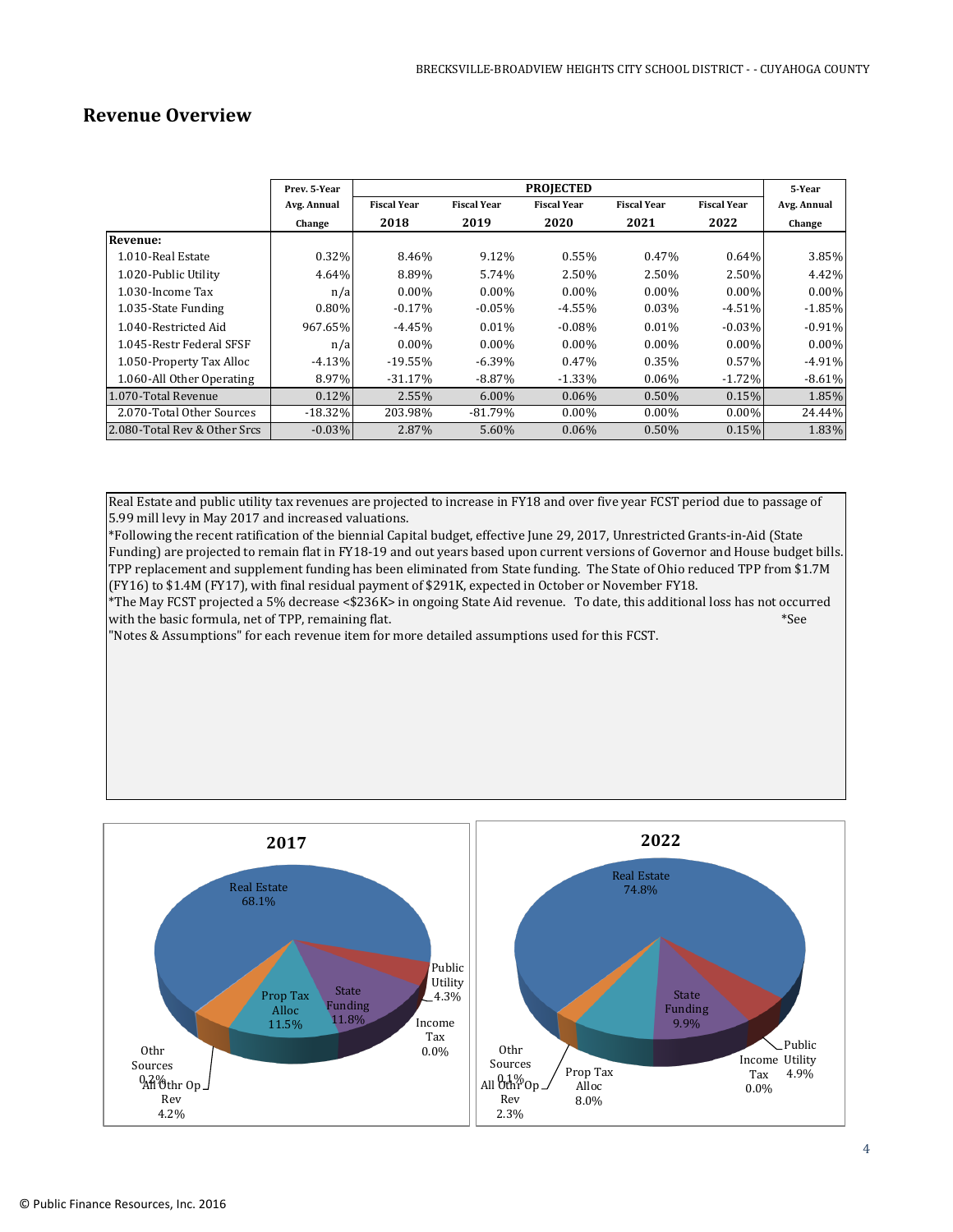## **Revenue Overview**

|                              | Prev. 5-Year |                    |                    | <b>PROJECTED</b>   |                    |                    | 5-Year      |
|------------------------------|--------------|--------------------|--------------------|--------------------|--------------------|--------------------|-------------|
|                              | Avg. Annual  | <b>Fiscal Year</b> | <b>Fiscal Year</b> | <b>Fiscal Year</b> | <b>Fiscal Year</b> | <b>Fiscal Year</b> | Avg. Annual |
|                              | Change       | 2018               | 2019               | 2020               | 2021               | 2022               | Change      |
| Revenue:                     |              |                    |                    |                    |                    |                    |             |
| 1.010-Real Estate            | 0.32%        | 8.46%              | 9.12%              | 0.55%              | 0.47%              | $0.64\%$           | 3.85%       |
| 1.020-Public Utility         | 4.64%        | 8.89%              | 5.74%              | 2.50%              | 2.50%              | 2.50%              | 4.42%       |
| 1.030-Income Tax             | n/a          | $0.00\%$           | $0.00\%$           | $0.00\%$           | $0.00\%$           | $0.00\%$           | $0.00\%$    |
| 1.035-State Funding          | $0.80\%$     | $-0.17%$           | $-0.05\%$          | $-4.55\%$          | 0.03%              | $-4.51%$           | $-1.85\%$   |
| 1.040-Restricted Aid         | 967.65%      | $-4.45%$           | $0.01\%$           | $-0.08\%$          | $0.01\%$           | $-0.03%$           | $-0.91%$    |
| 1.045-Restr Federal SFSF     | n/a          | $0.00\%$           | $0.00\%$           | $0.00\%$           | $0.00\%$           | $0.00\%$           | $0.00\%$    |
| 1.050-Property Tax Alloc     | $-4.13%$     | $-19.55%$          | $-6.39\%$          | 0.47%              | 0.35%              | 0.57%              | $-4.91%$    |
| 1.060-All Other Operating    | 8.97%        | $-31.17%$          | $-8.87\%$          | $-1.33\%$          | $0.06\%$           | $-1.72%$           | $-8.61%$    |
| 1.070-Total Revenue          | 0.12%        | 2.55%              | $6.00\%$           | $0.06\%$           | 0.50%              | 0.15%              | 1.85%       |
| 2.070-Total Other Sources    | $-18.32%$    | 203.98%            | $-81.79\%$         | $0.00\%$           | $0.00\%$           | $0.00\%$           | 24.44%      |
| 2.080-Total Rev & Other Srcs | $-0.03%$     | 2.87%              | 5.60%              | $0.06\%$           | 0.50%              | 0.15%              | 1.83%       |

Real Estate and public utility tax revenues are projected to increase in FY18 and over five year FCST period due to passage of 5.99 mill levy in May 2017 and increased valuations.

\*Following the recent ratification of the biennial Capital budget, effective June 29, 2017, Unrestricted Grants-in-Aid (State Funding) are projected to remain flat in FY18-19 and out years based upon current versions of Governor and House budget bills. TPP replacement and supplement funding has been eliminated from State funding. The State of Ohio reduced TPP from \$1.7M (FY16) to \$1.4M (FY17), with final residual payment of \$291K, expected in October or November FY18.

\*The May FCST projected a 5% decrease <\$236K> in ongoing State Aid revenue. To date, this additional loss has not occurred with the basic formula, net of TPP, remaining flat.  $*$ See

"Notes & Assumptions" for each revenue item for more detailed assumptions used for this FCST.

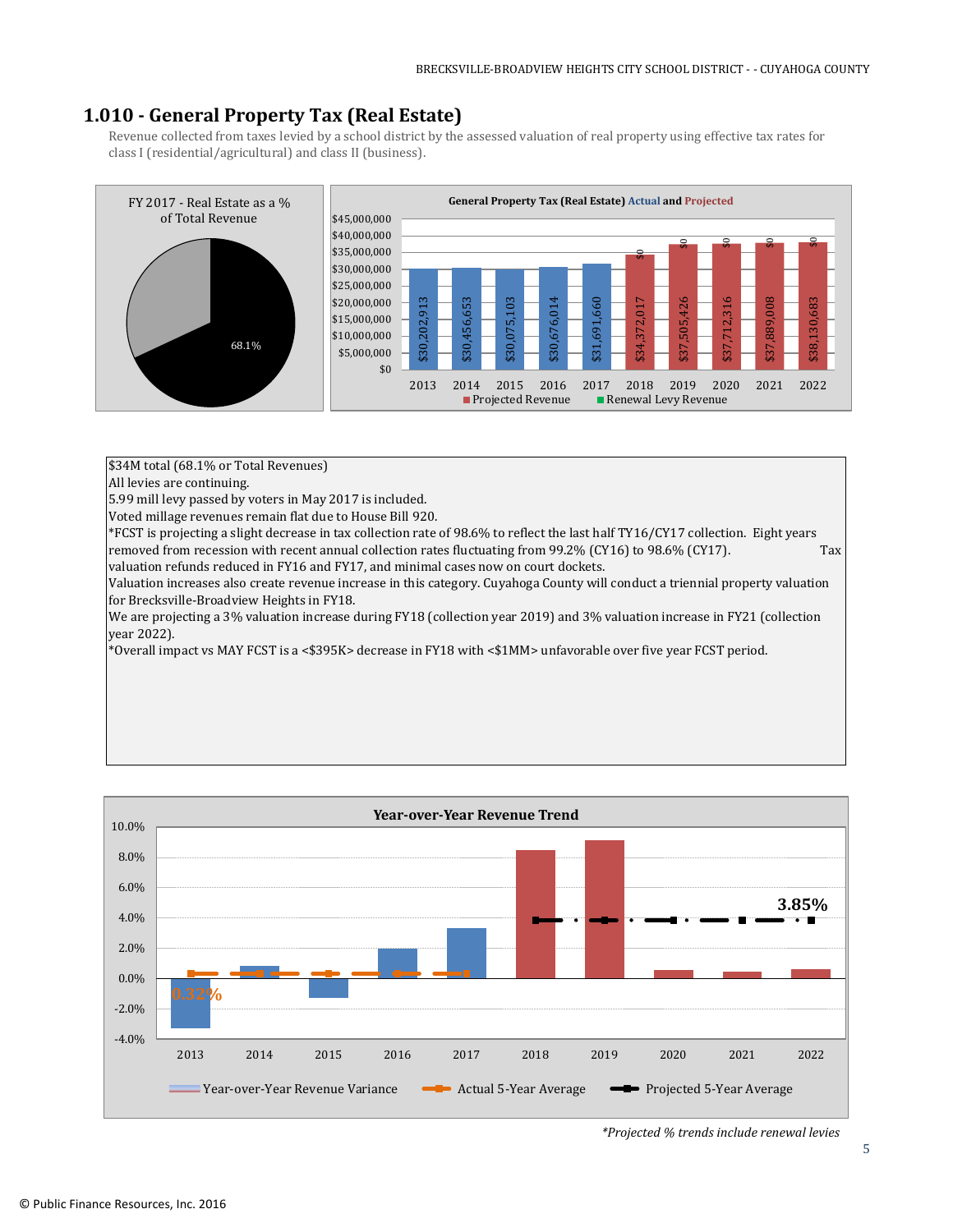## **1.010 - General Property Tax (Real Estate)**

Revenue collected from taxes levied by a school district by the assessed valuation of real property using effective tax rates for class I (residential/agricultural) and class II (business).



\$34M total (68.1% or Total Revenues)

All levies are continuing.

5.99 mill levy passed by voters in May 2017 is included.

Voted millage revenues remain flat due to House Bill 920.

\*FCST is projecting a slight decrease in tax collection rate of 98.6% to reflect the last half TY16/CY17 collection. Eight years removed from recession with recent annual collection rates fluctuating from 99.2% (CY16) to 98.6% (CY17). Tax

valuation refunds reduced in FY16 and FY17, and minimal cases now on court dockets.

Valuation increases also create revenue increase in this category. Cuyahoga County will conduct a triennial property valuation for Brecksville-Broadview Heights in FY18.

We are projecting a 3% valuation increase during FY18 (collection year 2019) and 3% valuation increase in FY21 (collection year 2022).

\*Overall impact vs MAY FCST is a <\$395K> decrease in FY18 with <\$1MM> unfavorable over five year FCST period.

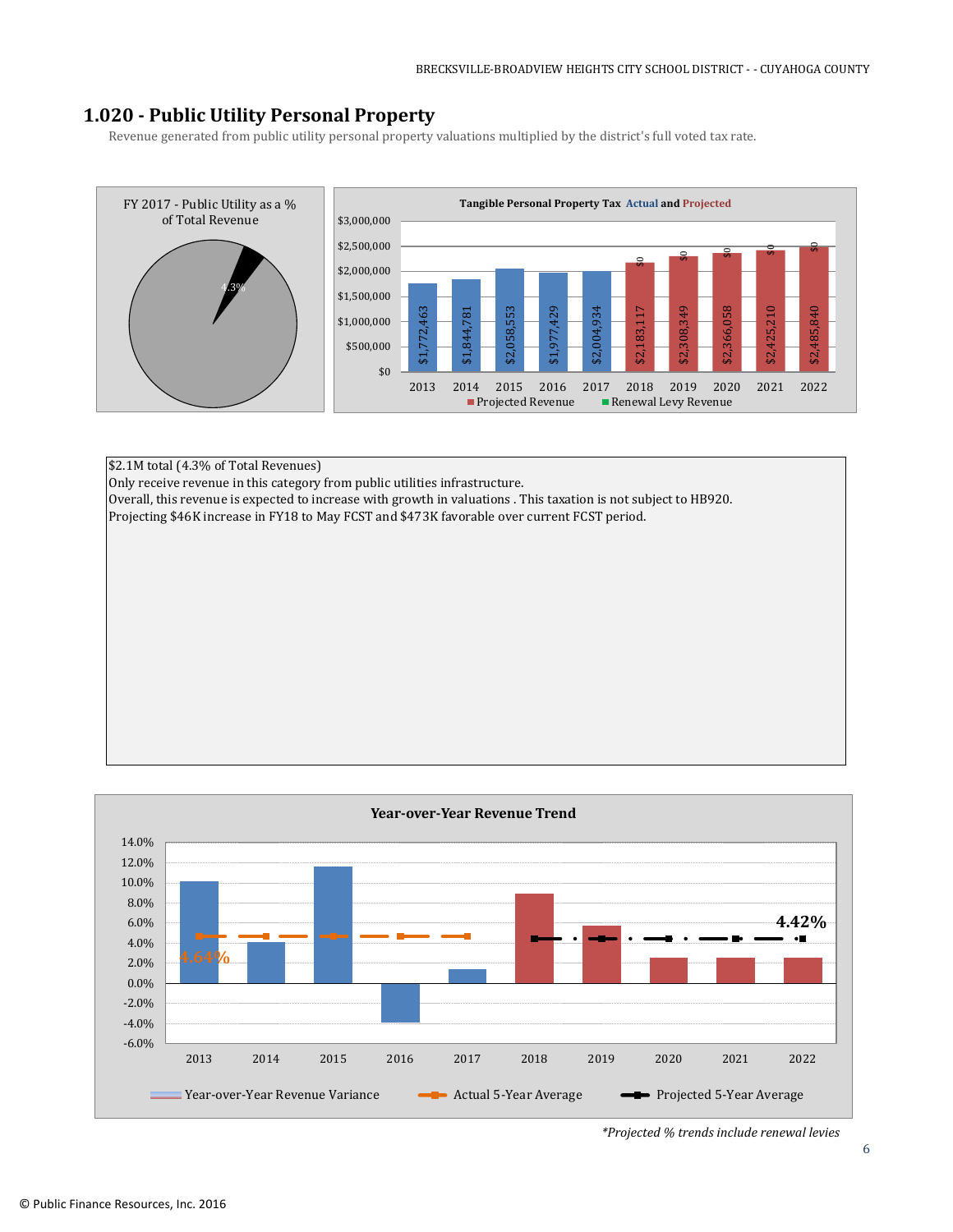## **1.020 - Public Utility Personal Property**

Revenue generated from public utility personal property valuations multiplied by the district's full voted tax rate.



\$2.1M total (4.3% of Total Revenues) Only receive revenue in this category from public utilities infrastructure. Overall, this revenue is expected to increase with growth in valuations . This taxation is not subject to HB920. Projecting \$46K increase in FY18 to May FCST and \$473K favorable over current FCST period.

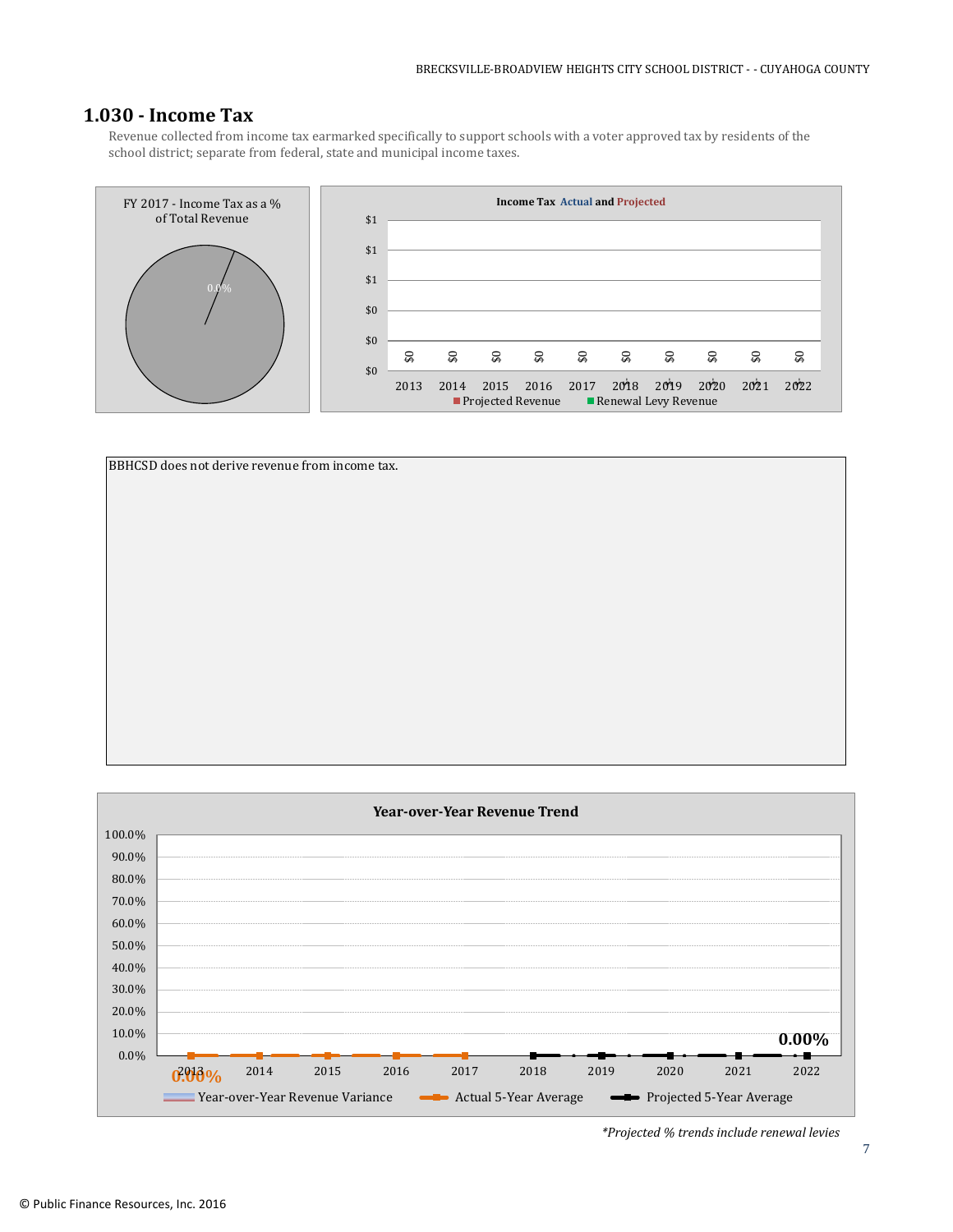### **1.030 - Income Tax**

Revenue collected from income tax earmarked specifically to support schools with a voter approved tax by residents of the school district; separate from federal, state and municipal income taxes.





![](_page_6_Figure_5.jpeg)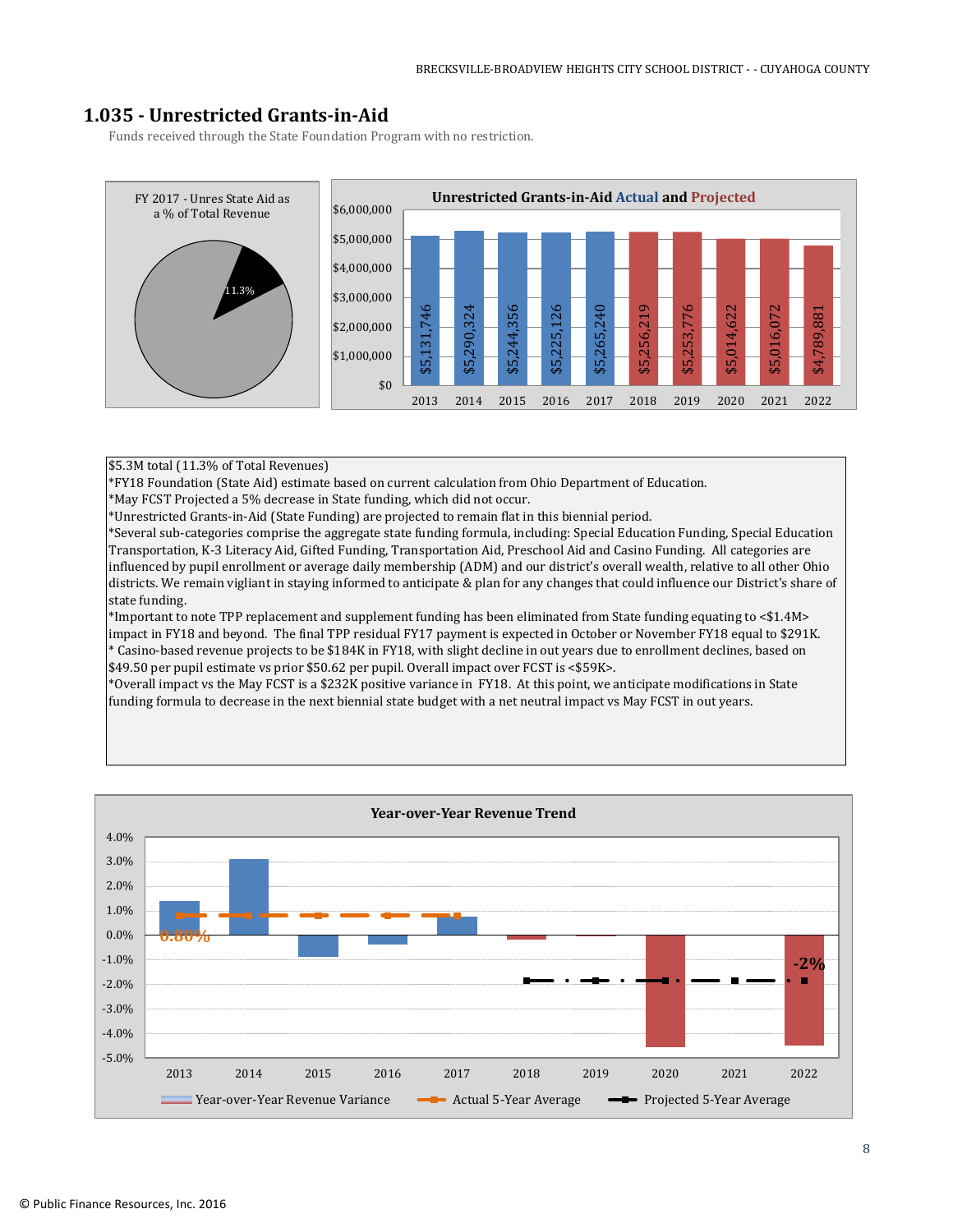## **1.035 - Unrestricted Grants-in-Aid**

Funds received through the State Foundation Program with no restriction.

![](_page_7_Figure_3.jpeg)

#### \$5.3M total (11.3% of Total Revenues)

\*FY18 Foundation (State Aid) estimate based on current calculation from Ohio Department of Education.

\*May FCST Projected a 5% decrease in State funding, which did not occur.

\*Unrestricted Grants-in-Aid (State Funding) are projected to remain flat in this biennial period.

\*Several sub-categories comprise the aggregate state funding formula, including: Special Education Funding, Special Education Transportation, K-3 Literacy Aid, Gifted Funding, Transportation Aid, Preschool Aid and Casino Funding. All categories are influenced by pupil enrollment or average daily membership (ADM) and our district's overall wealth, relative to all other Ohio districts. We remain vigliant in staying informed to anticipate & plan for any changes that could influence our District's share of state funding.

\*Important to note TPP replacement and supplement funding has been eliminated from State funding equating to <\$1.4M> impact in FY18 and beyond. The final TPP residual FY17 payment is expected in October or November FY18 equal to \$291K. \* Casino-based revenue projects to be \$184K in FY18, with slight decline in out years due to enrollment declines, based on \$49.50 per pupil estimate vs prior \$50.62 per pupil. Overall impact over FCST is <\$59K>.

\*Overall impact vs the May FCST is a \$232K positive variance in FY18. At this point, we anticipate modifications in State funding formula to decrease in the next biennial state budget with a net neutral impact vs May FCST in out years.

![](_page_7_Figure_11.jpeg)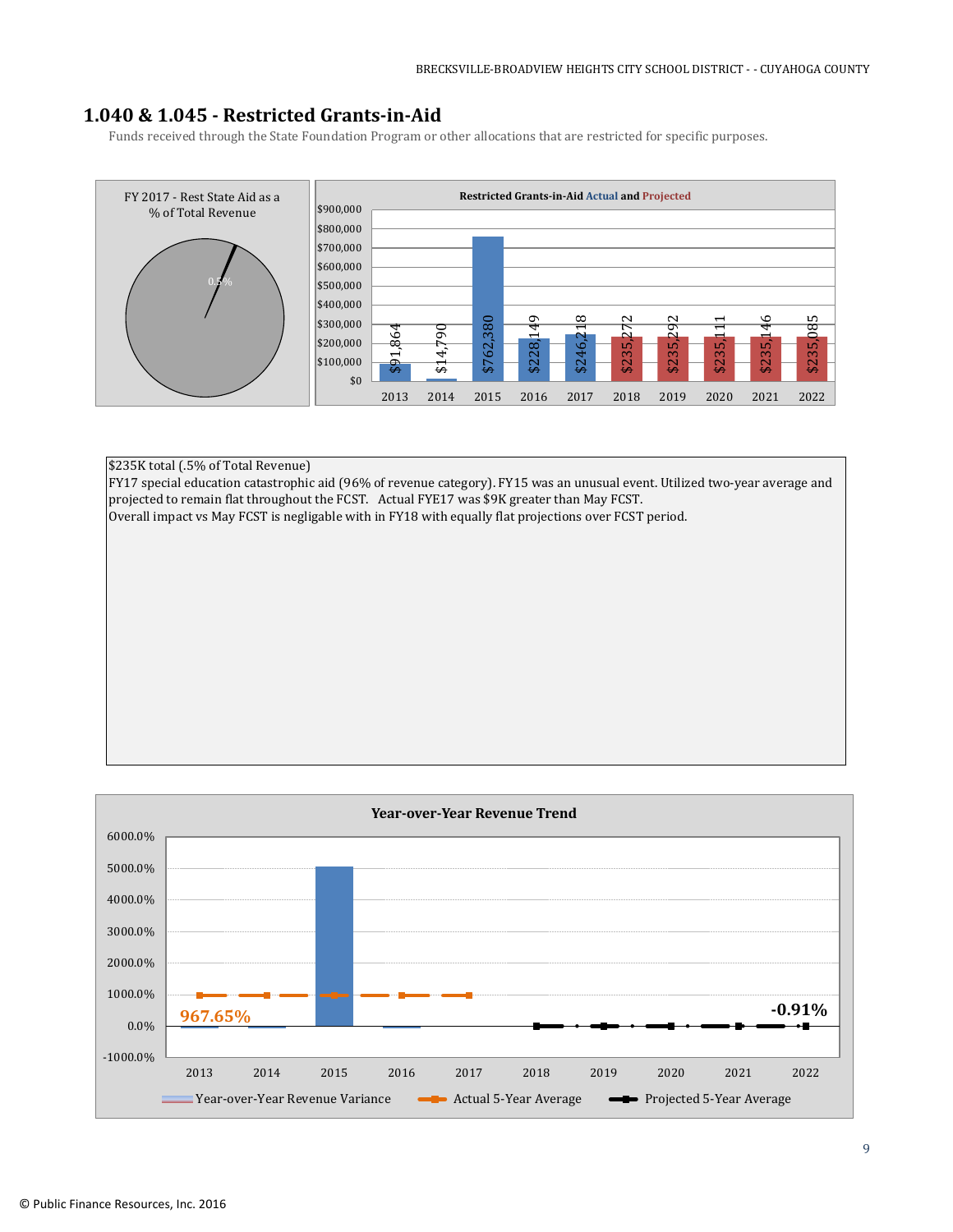## **1.040 & 1.045 - Restricted Grants-in-Aid**

Funds received through the State Foundation Program or other allocations that are restricted for specific purposes.

![](_page_8_Figure_3.jpeg)

\$235K total (.5% of Total Revenue) FY17 special education catastrophic aid (96% of revenue category). FY15 was an unusual event. Utilized two-year average and projected to remain flat throughout the FCST. Actual FYE17 was \$9K greater than May FCST. Overall impact vs May FCST is negligable with in FY18 with equally flat projections over FCST period.

![](_page_8_Figure_5.jpeg)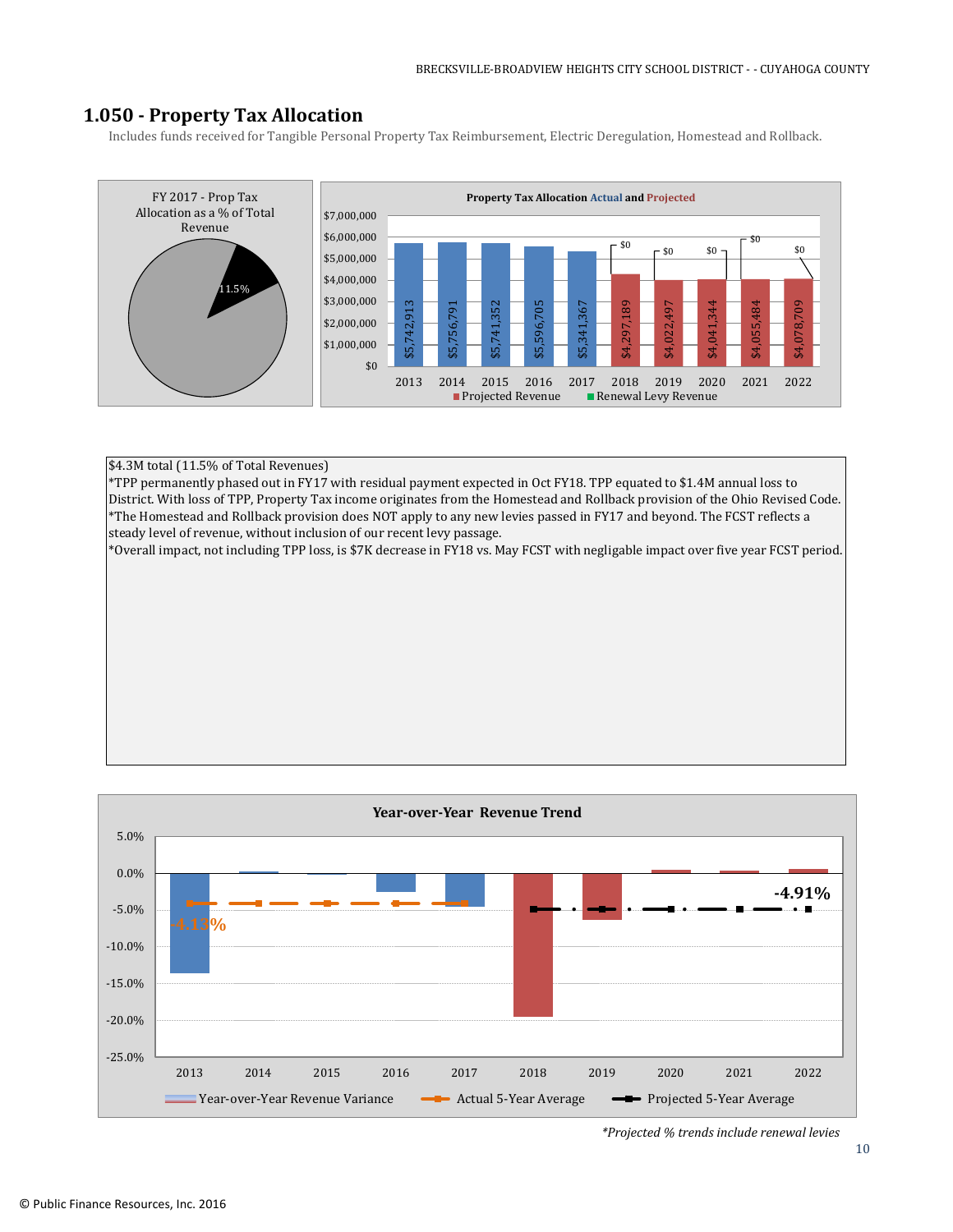## **1.050 - Property Tax Allocation**

Includes funds received for Tangible Personal Property Tax Reimbursement, Electric Deregulation, Homestead and Rollback.

![](_page_9_Figure_3.jpeg)

#### \$4.3M total (11.5% of Total Revenues)

\*TPP permanently phased out in FY17 with residual payment expected in Oct FY18. TPP equated to \$1.4M annual loss to District. With loss of TPP, Property Tax income originates from the Homestead and Rollback provision of the Ohio Revised Code. \*The Homestead and Rollback provision does NOT apply to any new levies passed in FY17 and beyond. The FCST reflects a steady level of revenue, without inclusion of our recent levy passage.

\*Overall impact, not including TPP loss, is \$7K decrease in FY18 vs. May FCST with negligable impact over five year FCST period.

![](_page_9_Figure_7.jpeg)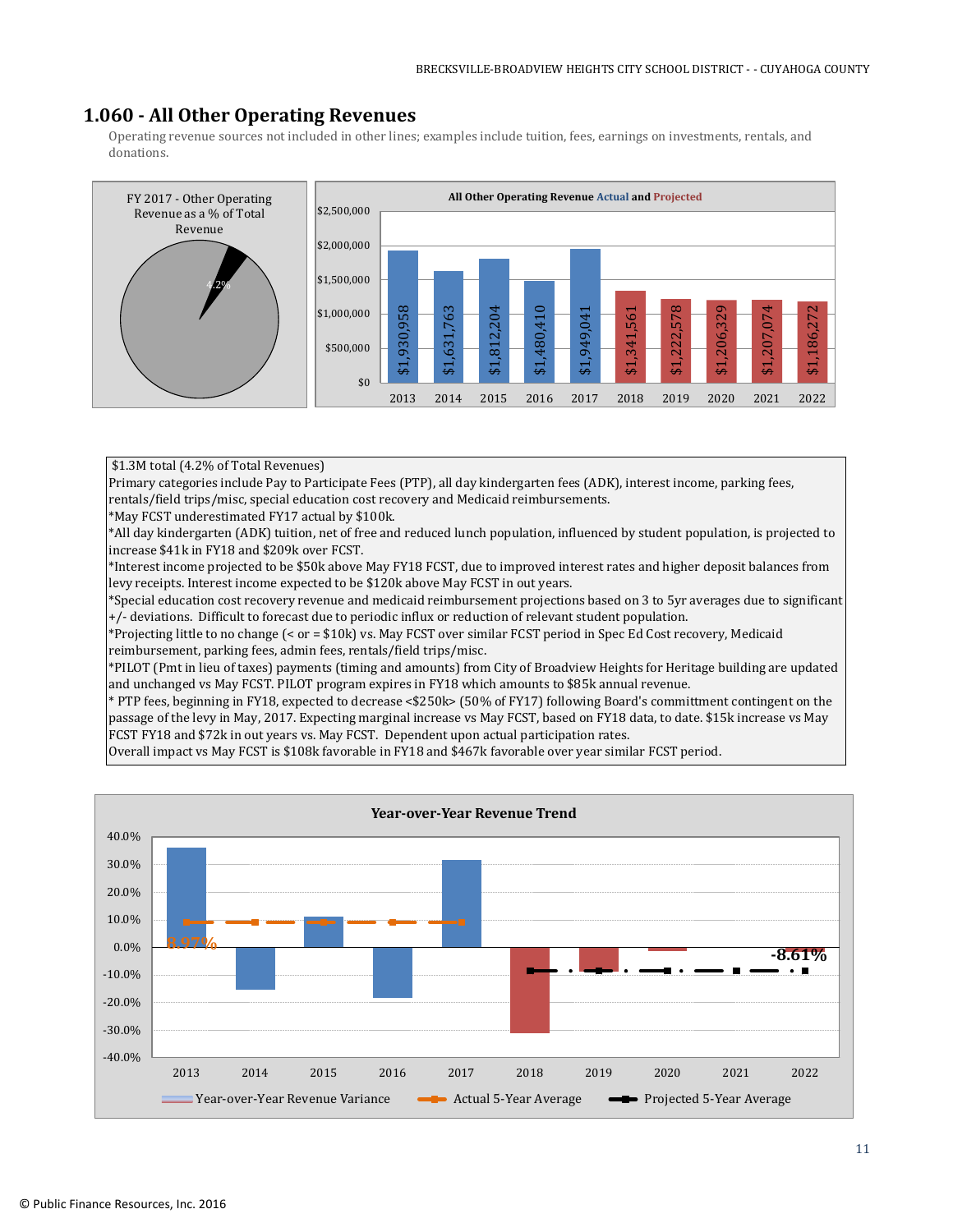## **1.060 - All Other Operating Revenues**

Operating revenue sources not included in other lines; examples include tuition, fees, earnings on investments, rentals, and donations.

![](_page_10_Figure_3.jpeg)

#### \$1.3M total (4.2% of Total Revenues)

Primary categories include Pay to Participate Fees (PTP), all day kindergarten fees (ADK), interest income, parking fees, rentals/field trips/misc, special education cost recovery and Medicaid reimbursements.

\*May FCST underestimated FY17 actual by \$100k.

\*All day kindergarten (ADK) tuition, net of free and reduced lunch population, influenced by student population, is projected to increase \$41k in FY18 and \$209k over FCST.

\*Interest income projected to be \$50k above May FY18 FCST, due to improved interest rates and higher deposit balances from levy receipts. Interest income expected to be \$120k above May FCST in out years.

\*Special education cost recovery revenue and medicaid reimbursement projections based on 3 to 5yr averages due to significant +/- deviations. Difficult to forecast due to periodic influx or reduction of relevant student population.

\*Projecting little to no change (< or = \$10k) vs. May FCST over similar FCST period in Spec Ed Cost recovery, Medicaid reimbursement, parking fees, admin fees, rentals/field trips/misc.

\*PILOT (Pmt in lieu of taxes) payments (timing and amounts) from City of Broadview Heights for Heritage building are updated and unchanged vs May FCST. PILOT program expires in FY18 which amounts to \$85k annual revenue.

\* PTP fees, beginning in FY18, expected to decrease <\$250k> (50% of FY17) following Board's committment contingent on the passage of the levy in May, 2017. Expecting marginal increase vs May FCST, based on FY18 data, to date. \$15k increase vs May FCST FY18 and \$72k in out years vs. May FCST. Dependent upon actual participation rates.

Overall impact vs May FCST is \$108k favorable in FY18 and \$467k favorable over year similar FCST period.

![](_page_10_Figure_14.jpeg)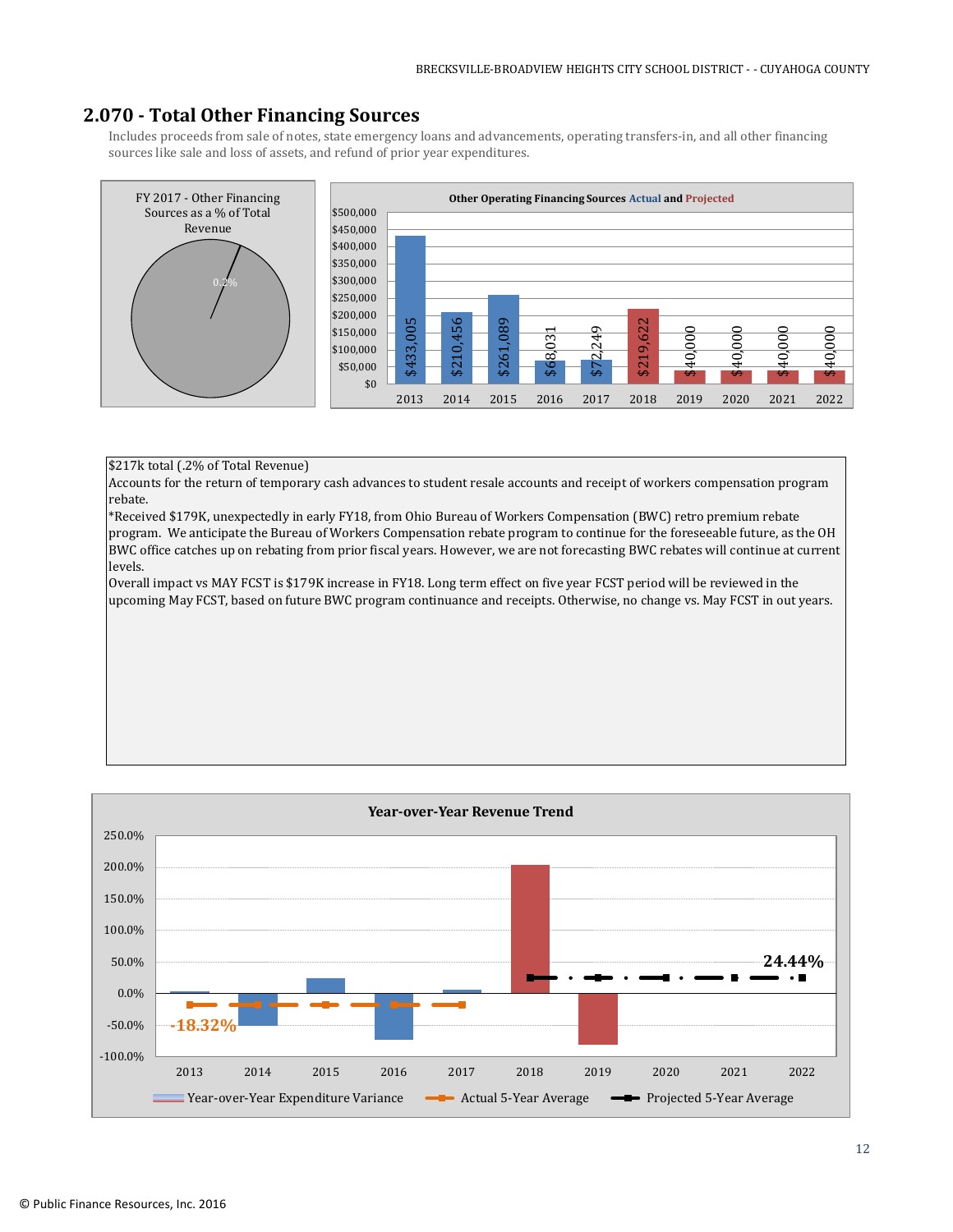## **2.070 - Total Other Financing Sources**

Includes proceeds from sale of notes, state emergency loans and advancements, operating transfers-in, and all other financing sources like sale and loss of assets, and refund of prior year expenditures.

![](_page_11_Figure_3.jpeg)

#### \$217k total (.2% of Total Revenue)

Accounts for the return of temporary cash advances to student resale accounts and receipt of workers compensation program rebate.

\*Received \$179K, unexpectedly in early FY18, from Ohio Bureau of Workers Compensation (BWC) retro premium rebate program. We anticipate the Bureau of Workers Compensation rebate program to continue for the foreseeable future, as the OH BWC office catches up on rebating from prior fiscal years. However, we are not forecasting BWC rebates will continue at current levels.

Overall impact vs MAY FCST is \$179K increase in FY18. Long term effect on five year FCST period will be reviewed in the

![](_page_11_Figure_8.jpeg)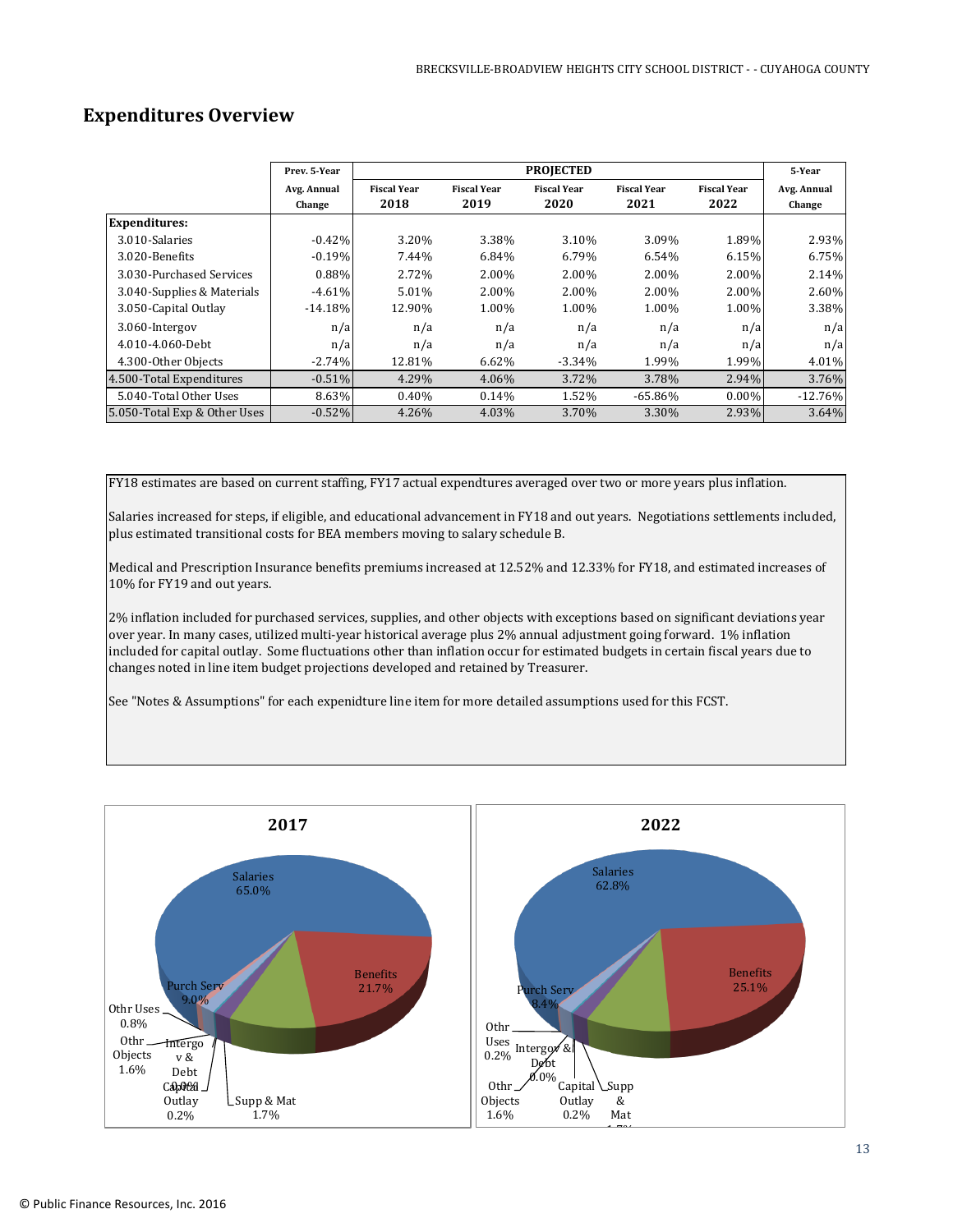## **Expenditures Overview**

|                              | Prev. 5-Year          |                            |                            | <b>PROJECTED</b>           |                            |                            | 5-Year                |
|------------------------------|-----------------------|----------------------------|----------------------------|----------------------------|----------------------------|----------------------------|-----------------------|
|                              | Avg. Annual<br>Change | <b>Fiscal Year</b><br>2018 | <b>Fiscal Year</b><br>2019 | <b>Fiscal Year</b><br>2020 | <b>Fiscal Year</b><br>2021 | <b>Fiscal Year</b><br>2022 | Avg. Annual<br>Change |
| <b>Expenditures:</b>         |                       |                            |                            |                            |                            |                            |                       |
| 3.010-Salaries               | $-0.42%$              | 3.20%                      | 3.38%                      | 3.10%                      | 3.09%                      | 1.89%                      | 2.93%                 |
| 3.020-Benefits               | $-0.19%$              | 7.44%                      | 6.84%                      | 6.79%                      | 6.54%                      | 6.15%                      | 6.75%                 |
| 3.030-Purchased Services     | 0.88%                 | 2.72%                      | 2.00%                      | 2.00%                      | 2.00%                      | $2.00\%$                   | 2.14%                 |
| 3.040-Supplies & Materials   | $-4.61%$              | 5.01%                      | 2.00%                      | 2.00%                      | 2.00%                      | 2.00%                      | 2.60%                 |
| 3.050-Capital Outlay         | $-14.18%$             | 12.90%                     | 1.00%                      | 1.00%                      | 1.00%                      | 1.00%                      | 3.38%                 |
| 3.060-Intergov               | n/a                   | n/a                        | n/a                        | n/a                        | n/a                        | n/a                        | n/a                   |
| 4.010-4.060-Debt             | n/a                   | n/a                        | n/a                        | n/a                        | n/a                        | n/a                        | n/a                   |
| 4.300-Other Objects          | $-2.74%$              | 12.81%                     | 6.62%                      | $-3.34%$                   | 1.99%                      | 1.99%                      | 4.01%                 |
| 4.500-Total Expenditures     | $-0.51%$              | 4.29%                      | 4.06%                      | 3.72%                      | 3.78%                      | 2.94%                      | 3.76%                 |
| 5.040-Total Other Uses       | 8.63%                 | $0.40\%$                   | 0.14%                      | 1.52%                      | $-65.86\%$                 | $0.00\%$                   | $-12.76%$             |
| 5.050-Total Exp & Other Uses | $-0.52%$              | 4.26%                      | 4.03%                      | 3.70%                      | 3.30%                      | 2.93%                      | 3.64%                 |

FY18 estimates are based on current staffing, FY17 actual expendtures averaged over two or more years plus inflation.

Salaries increased for steps, if eligible, and educational advancement in FY18 and out years. Negotiations settlements included, plus estimated transitional costs for BEA members moving to salary schedule B.

Medical and Prescription Insurance benefits premiums increased at 12.52% and 12.33% for FY18, and estimated increases of 10% for FY19 and out years.

2% inflation included for purchased services, supplies, and other objects with exceptions based on significant deviations year over year. In many cases, utilized multi-year historical average plus 2% annual adjustment going forward. 1% inflation included for capital outlay. Some fluctuations other than inflation occur for estimated budgets in certain fiscal years due to changes noted in line item budget projections developed and retained by Treasurer.

See "Notes & Assumptions" for each expenidture line item for more detailed assumptions used for this FCST.

![](_page_12_Figure_8.jpeg)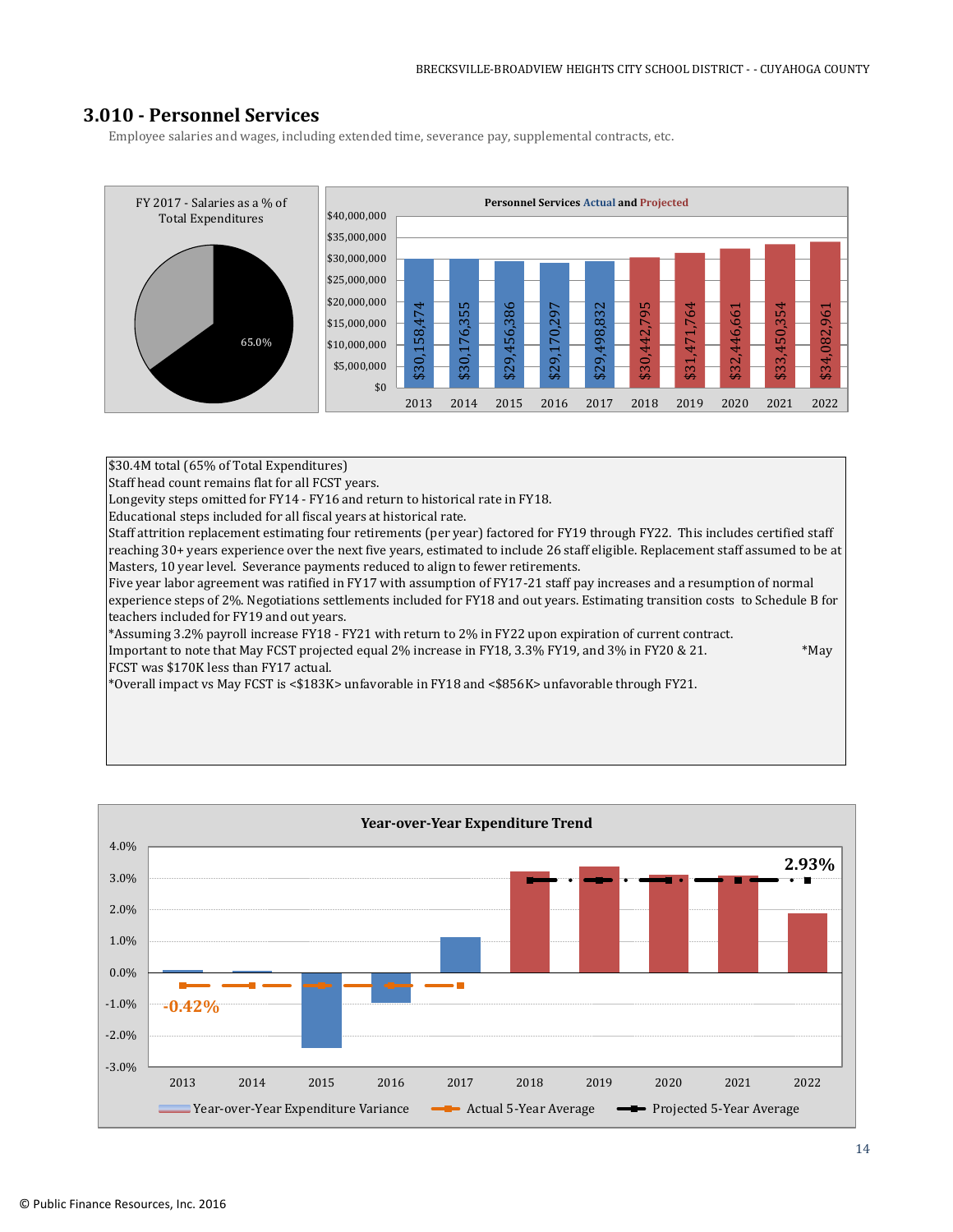## **3.010 - Personnel Services**

Employee salaries and wages, including extended time, severance pay, supplemental contracts, etc.

![](_page_13_Figure_3.jpeg)

\$30.4M total (65% of Total Expenditures)

FCST was \$170K less than FY17 actual.

Staff head count remains flat for all FCST years.

Longevity steps omitted for FY14 - FY16 and return to historical rate in FY18.

Educational steps included for all fiscal years at historical rate.

Staff attrition replacement estimating four retirements (per year) factored for FY19 through FY22. This includes certified staff reaching 30+ years experience over the next five years, estimated to include 26 staff eligible. Replacement staff assumed to be at Masters, 10 year level. Severance payments reduced to align to fewer retirements.

Five year labor agreement was ratified in FY17 with assumption of FY17-21 staff pay increases and a resumption of normal experience steps of 2%. Negotiations settlements included for FY18 and out years. Estimating transition costs to Schedule B for teachers included for FY19 and out years.

\*Assuming 3.2% payroll increase FY18 - FY21 with return to 2% in FY22 upon expiration of current contract. Important to note that May FCST projected equal 2% increase in FY18, 3.3% FY19, and 3% in FY20 & 21. \*May

\*Overall impact vs May FCST is <\$183K> unfavorable in FY18 and <\$856K> unfavorable through FY21.

![](_page_13_Figure_13.jpeg)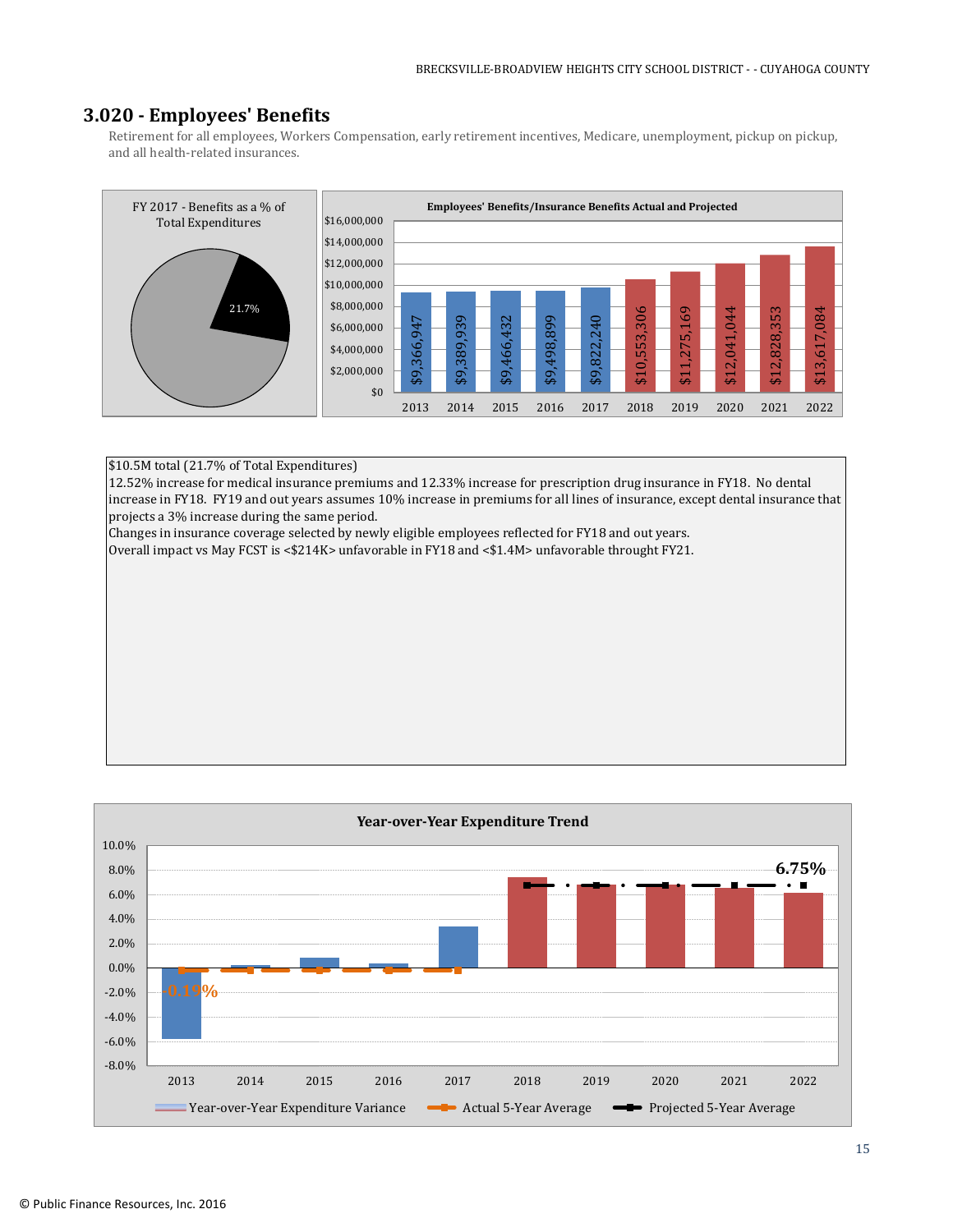## **3.020 - Employees' Benefits**

Retirement for all employees, Workers Compensation, early retirement incentives, Medicare, unemployment, pickup on pickup, and all health-related insurances.

![](_page_14_Figure_3.jpeg)

#### \$10.5M total (21.7% of Total Expenditures)

12.52% increase for medical insurance premiums and 12.33% increase for prescription drug insurance in FY18. No dental increase in FY18. FY19 and out years assumes 10% increase in premiums for all lines of insurance, except dental insurance that projects a 3% increase during the same period.

Changes in insurance coverage selected by newly eligible employees reflected for FY18 and out years.

Overall impact vs May FCST is <\$214K> unfavorable in FY18 and <\$1.4M> unfavorable throught FY21.

![](_page_14_Figure_8.jpeg)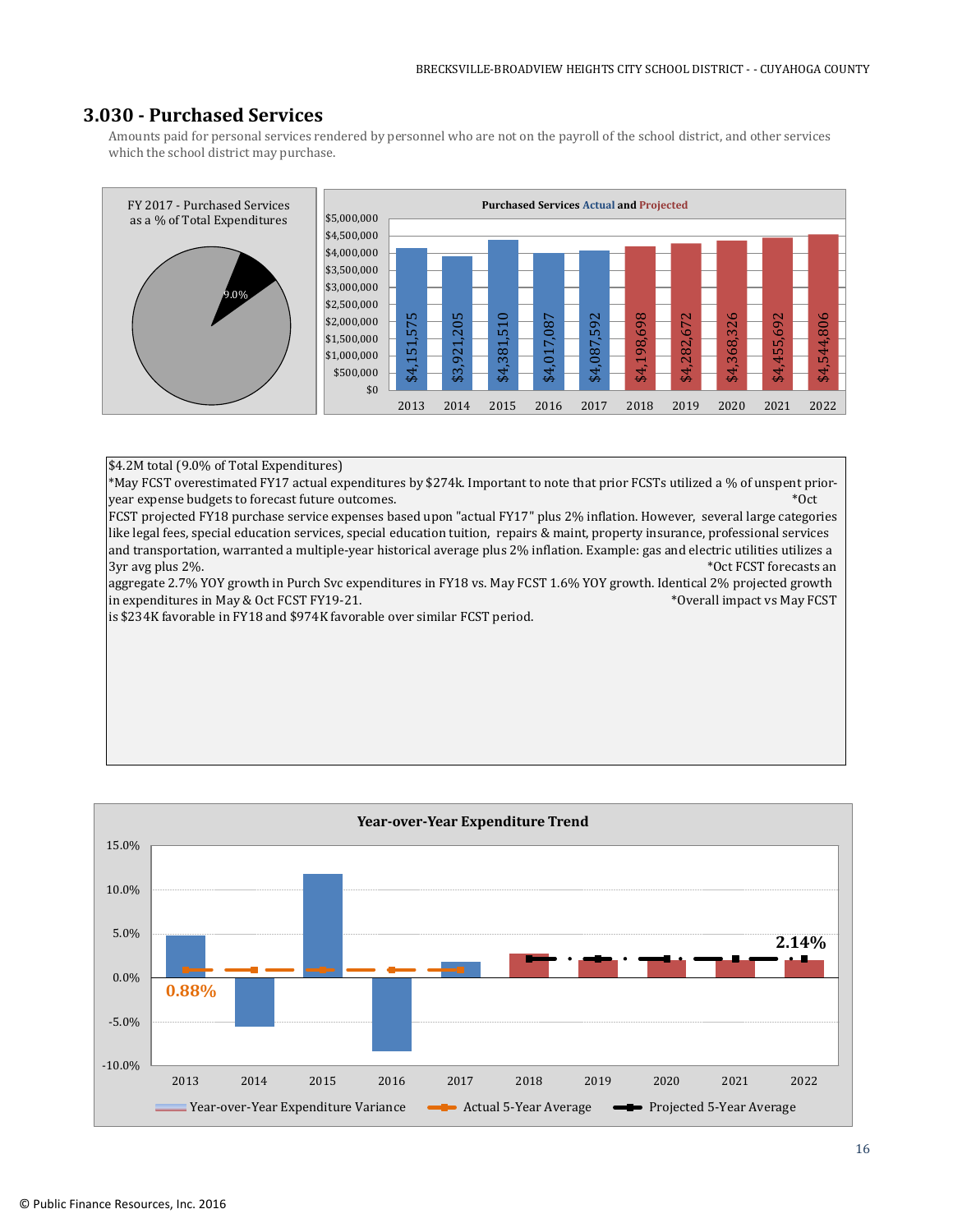## **3.030 - Purchased Services**

Amounts paid for personal services rendered by personnel who are not on the payroll of the school district, and other services which the school district may purchase.

![](_page_15_Figure_3.jpeg)

#### \$4.2M total (9.0% of Total Expenditures)

\*May FCST overestimated FY17 actual expenditures by \$274k. Important to note that prior FCSTs utilized a % of unspent prioryear expense budgets to forecast future outcomes.  $*0$ ct

FCST projected FY18 purchase service expenses based upon "actual FY17" plus 2% inflation. However, several large categories like legal fees, special education services, special education tuition, repairs & maint, property insurance, professional services and transportation, warranted a multiple-year historical average plus 2% inflation. Example: gas and electric utilities utilizes a 3yr avg plus 2%. The state of the state of the state of the state of the state of the state of the state of the state of the state of the state of the state of the state of the state of the state of the state of the state

aggregate 2.7% YOY growth in Purch Svc expenditures in FY18 vs. May FCST 1.6% YOY growth. Identical 2% projected growth in expenditures in May & Oct FCST FY19-21. The state of the state of the state of the state of the state of the state of the state of the state of the state of the state of the state of the state of the state of the state

is \$234K favorable in FY18 and \$974K favorable over similar FCST period.

![](_page_15_Figure_9.jpeg)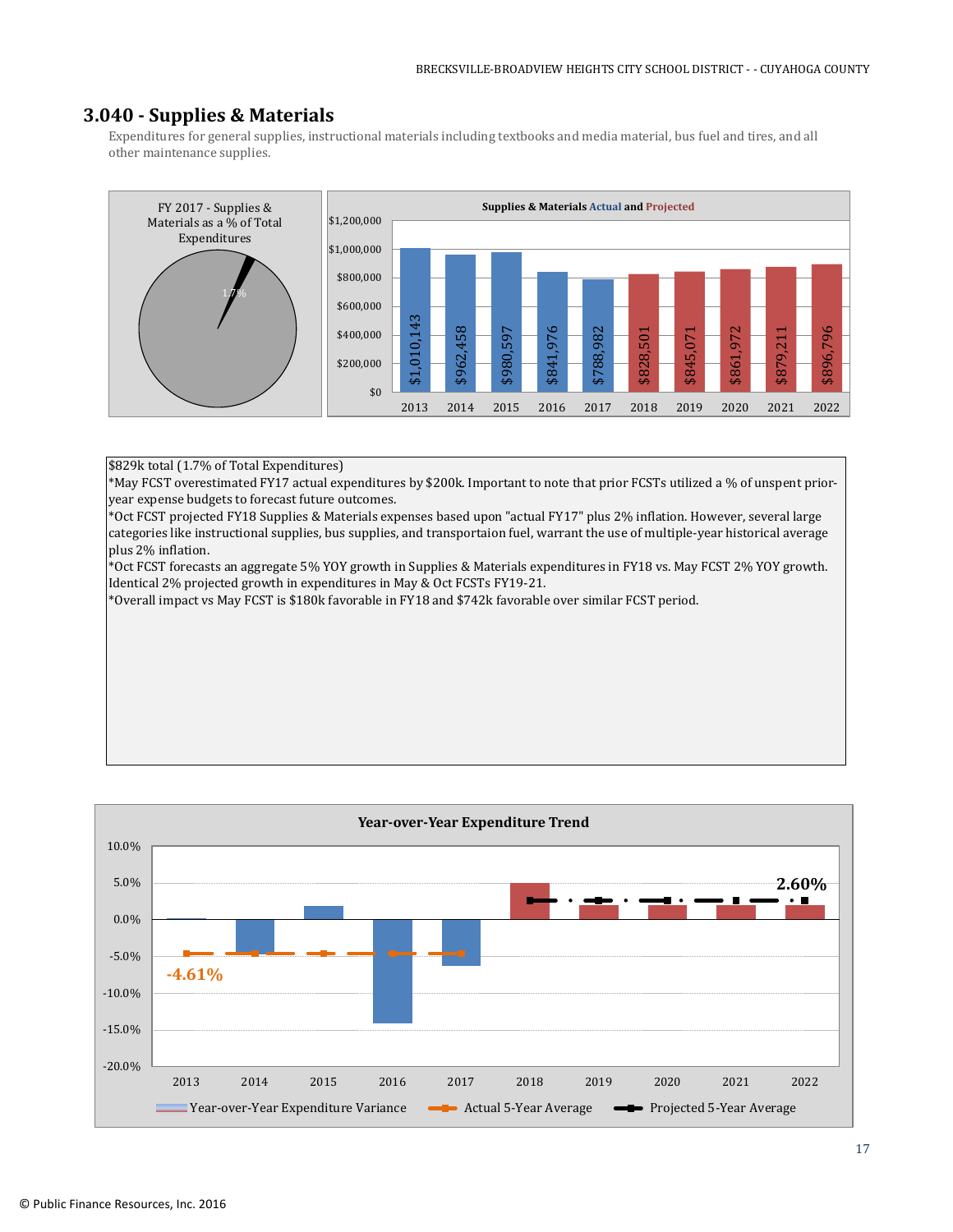## **3.040 - Supplies & Materials**

Expenditures for general supplies, instructional materials including textbooks and media material, bus fuel and tires, and all other maintenance supplies.

![](_page_16_Figure_3.jpeg)

#### \$829k total (1.7% of Total Expenditures)

\*May FCST overestimated FY17 actual expenditures by \$200k. Important to note that prior FCSTs utilized a % of unspent prioryear expense budgets to forecast future outcomes.

\*Oct FCST projected FY18 Supplies & Materials expenses based upon "actual FY17" plus 2% inflation. However, several large categories like instructional supplies, bus supplies, and transportaion fuel, warrant the use of multiple-year historical average plus 2% inflation.

\*Oct FCST forecasts an aggregate 5% YOY growth in Supplies & Materials expenditures in FY18 vs. May FCST 2% YOY growth. Identical 2% projected growth in expenditures in May & Oct FCSTs FY19-21.

\*Overall impact vs May FCST is \$180k favorable in FY18 and \$742k favorable over similar FCST period.

![](_page_16_Figure_9.jpeg)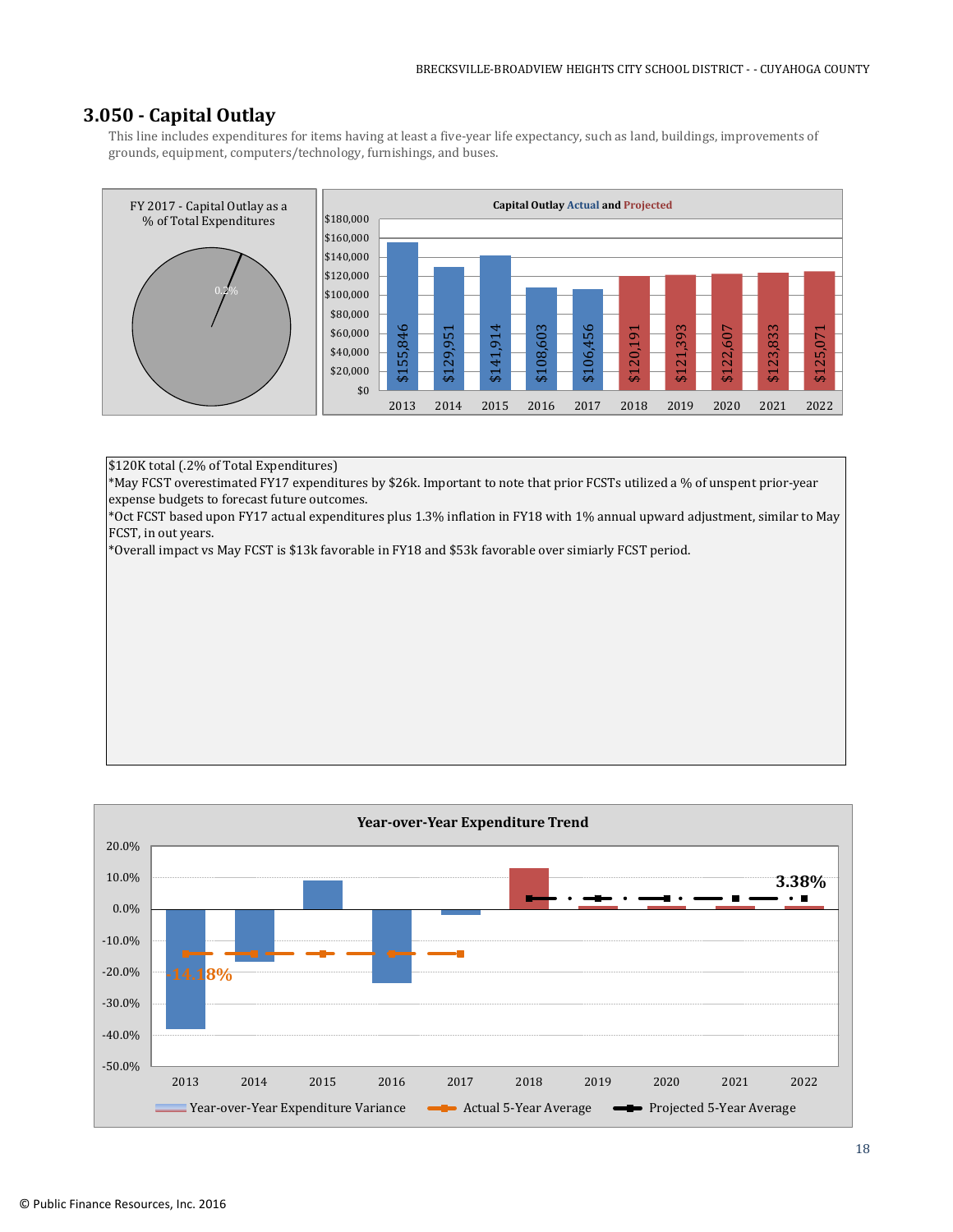## **3.050 - Capital Outlay**

This line includes expenditures for items having at least a five-year life expectancy, such as land, buildings, improvements of grounds, equipment, computers/technology, furnishings, and buses.

![](_page_17_Figure_3.jpeg)

\$120K total (.2% of Total Expenditures)

\*May FCST overestimated FY17 expenditures by \$26k. Important to note that prior FCSTs utilized a % of unspent prior-year expense budgets to forecast future outcomes.

\*Oct FCST based upon FY17 actual expenditures plus 1.3% inflation in FY18 with 1% annual upward adjustment, similar to May FCST, in out years.

\*Overall impact vs May FCST is \$13k favorable in FY18 and \$53k favorable over simiarly FCST period.

![](_page_17_Figure_8.jpeg)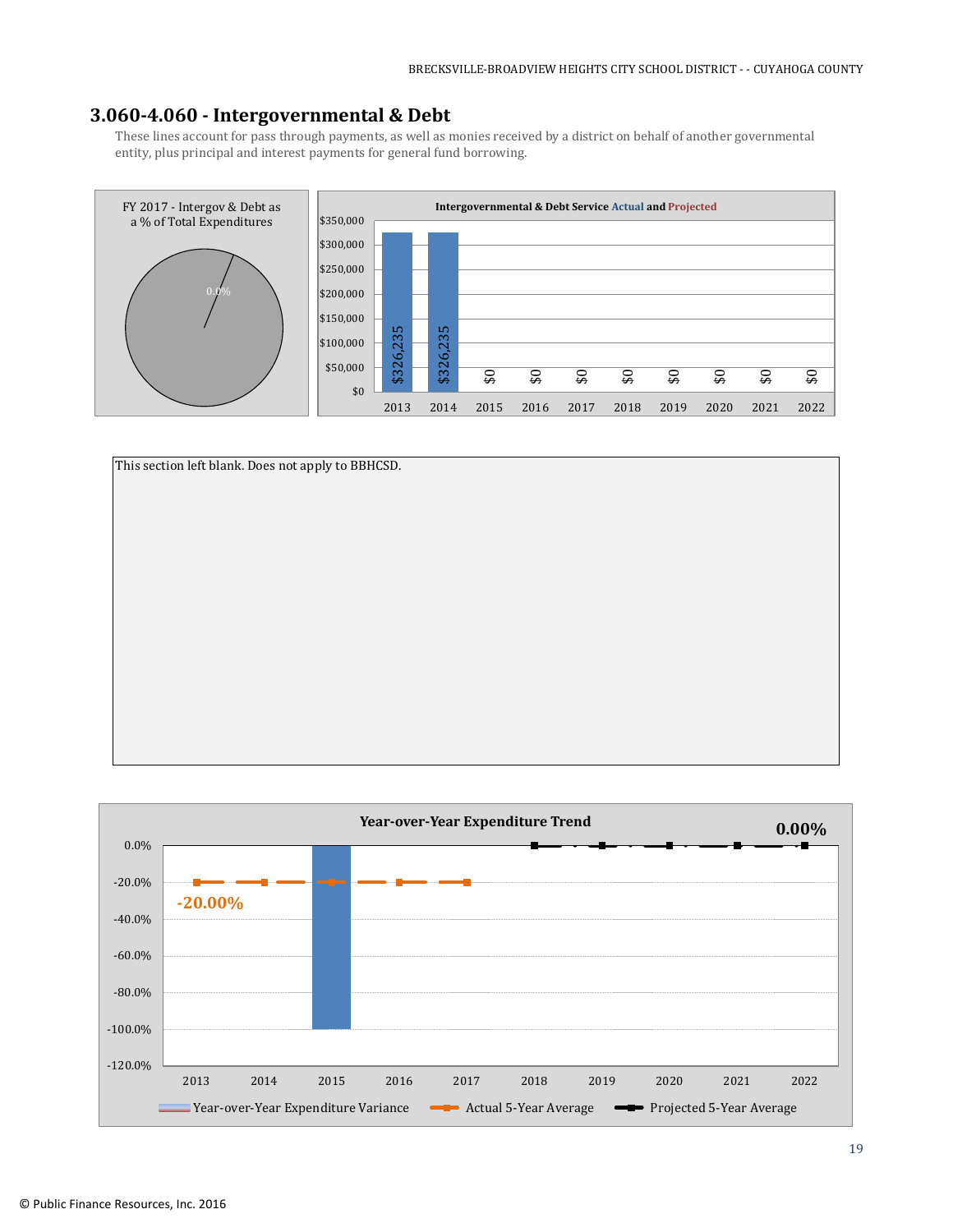## **3.060-4.060 - Intergovernmental & Debt**

These lines account for pass through payments, as well as monies received by a district on behalf of another governmental entity, plus principal and interest payments for general fund borrowing.

![](_page_18_Figure_3.jpeg)

![](_page_18_Figure_4.jpeg)

![](_page_18_Figure_5.jpeg)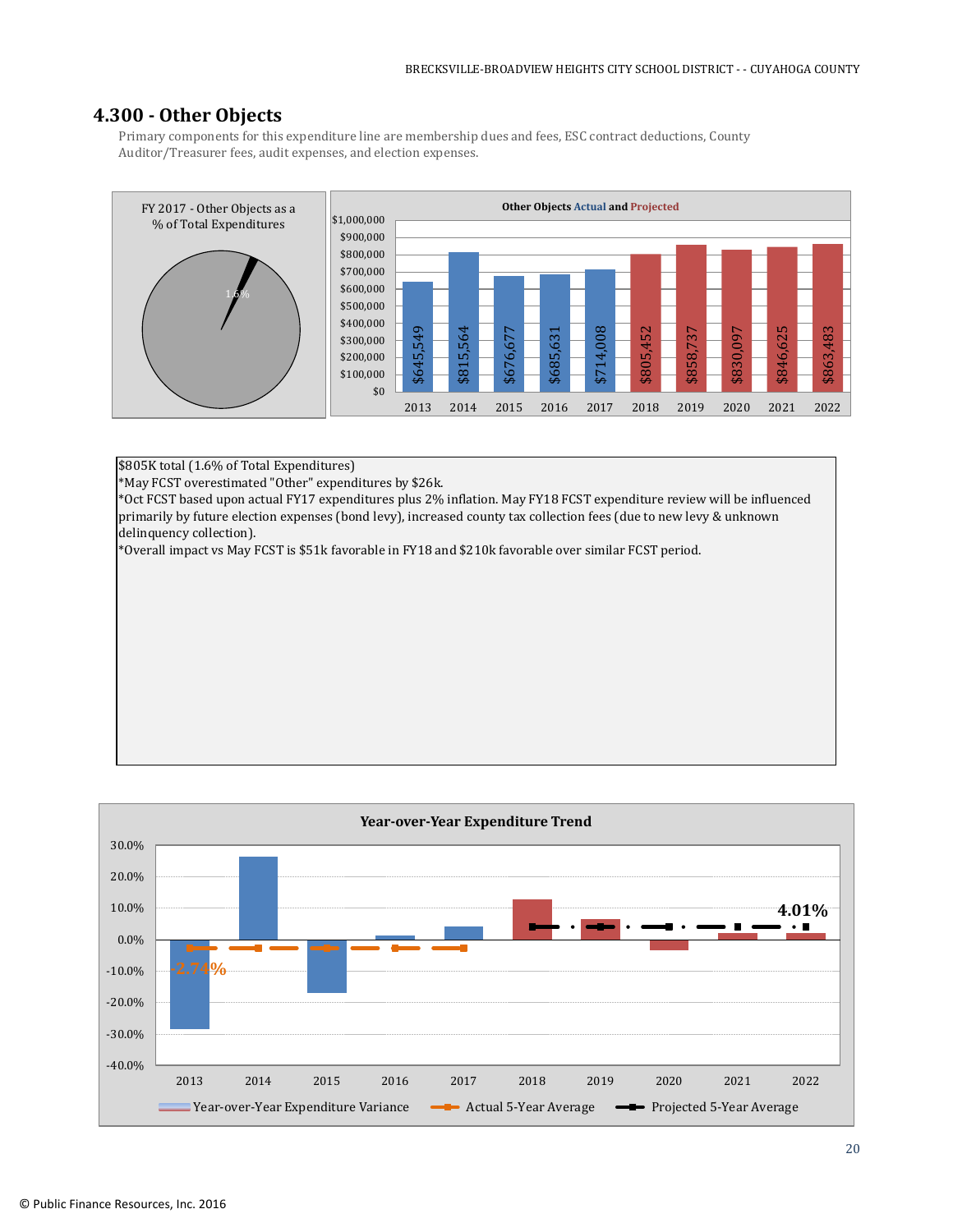## **4.300 - Other Objects**

Primary components for this expenditure line are membership dues and fees, ESC contract deductions, County Auditor/Treasurer fees, audit expenses, and election expenses.

![](_page_19_Figure_3.jpeg)

\$805K total (1.6% of Total Expenditures)

\*May FCST overestimated "Other" expenditures by \$26k.

\*Oct FCST based upon actual FY17 expenditures plus 2% inflation. May FY18 FCST expenditure review will be influenced primarily by future election expenses (bond levy), increased county tax collection fees (due to new levy & unknown delinquency collection).

\*Overall impact vs May FCST is \$51k favorable in FY18 and \$210k favorable over similar FCST period.

![](_page_19_Figure_8.jpeg)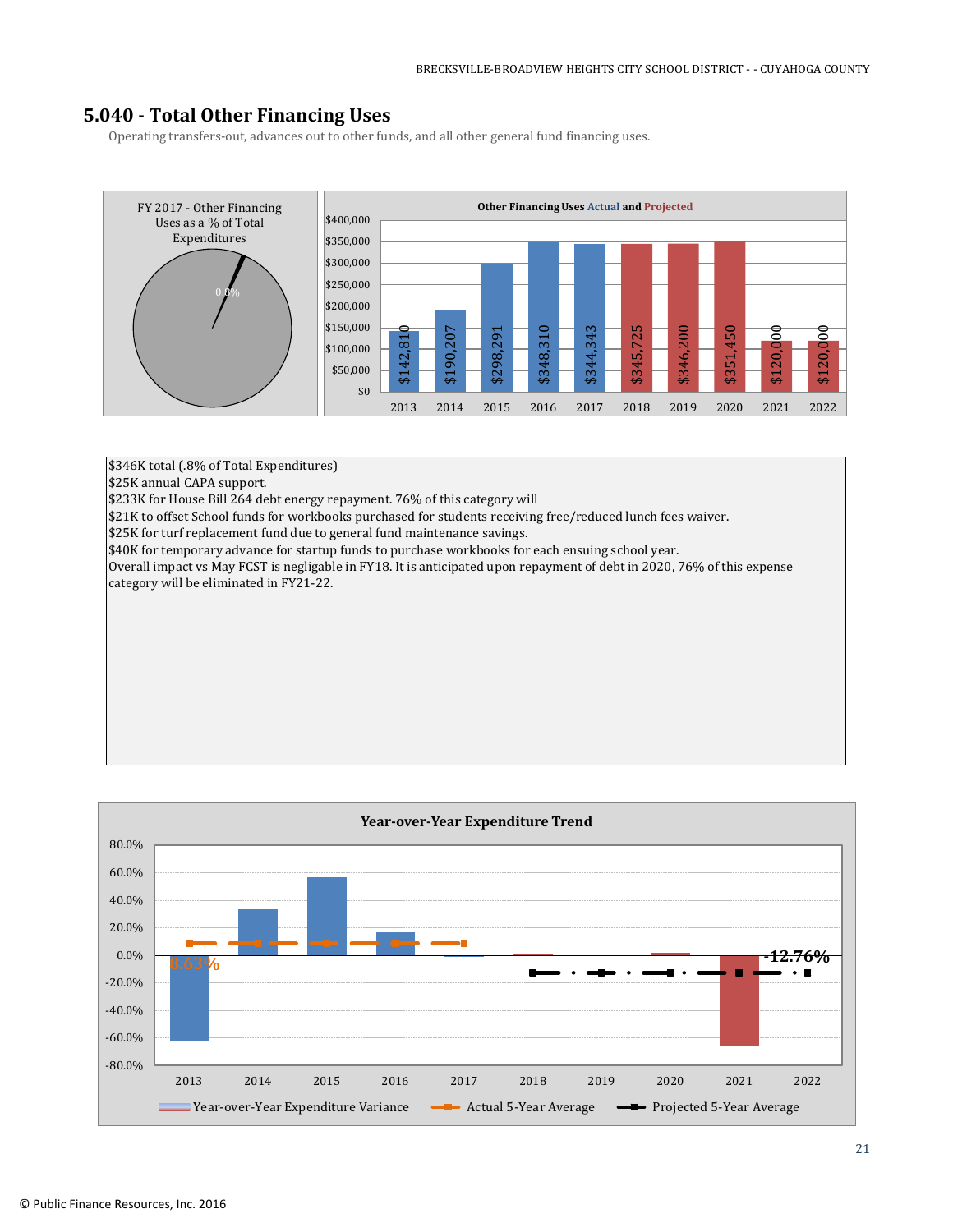## **5.040 - Total Other Financing Uses**

Operating transfers-out, advances out to other funds, and all other general fund financing uses.

![](_page_20_Figure_3.jpeg)

\$346K total (.8% of Total Expenditures)

\$25K annual CAPA support.

\$233K for House Bill 264 debt energy repayment. 76% of this category will

\$21K to offset School funds for workbooks purchased for students receiving free/reduced lunch fees waiver.

\$25K for turf replacement fund due to general fund maintenance savings.

\$40K for temporary advance for startup funds to purchase workbooks for each ensuing school year.

Overall impact vs May FCST is negligable in FY18. It is anticipated upon repayment of debt in 2020, 76% of this expense category will be eliminated in FY21-22.

![](_page_20_Figure_11.jpeg)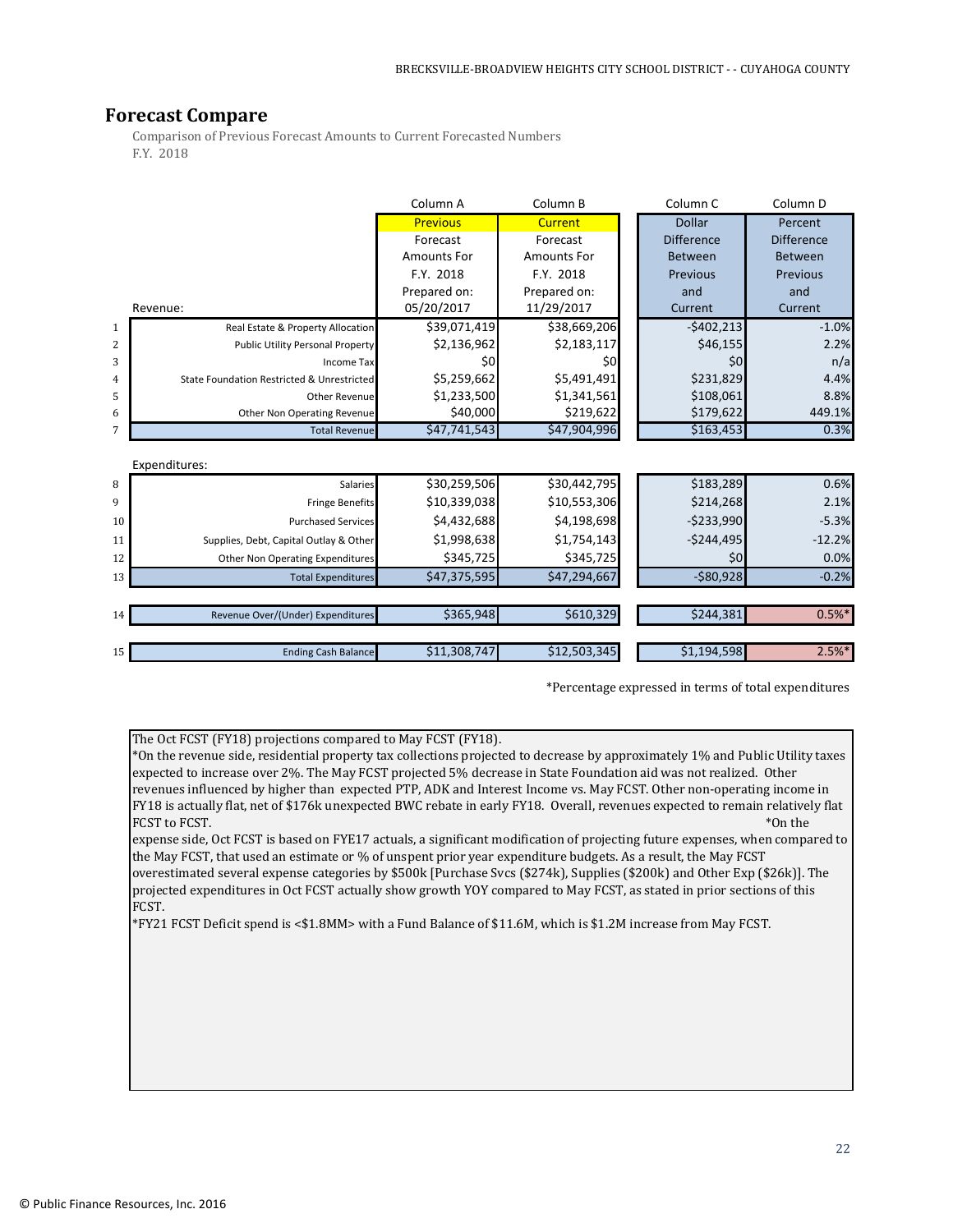## **Forecast Compare**

Comparison of Previous Forecast Amounts to Current Forecasted Numbers F.Y. 2018

|                |                                            | Column A           | Column B       | Column <sub>C</sub> | Column D          |  |  |  |  |
|----------------|--------------------------------------------|--------------------|----------------|---------------------|-------------------|--|--|--|--|
|                |                                            | <b>Previous</b>    | <b>Current</b> | Dollar              | Percent           |  |  |  |  |
|                |                                            | Forecast           | Forecast       | <b>Difference</b>   | <b>Difference</b> |  |  |  |  |
|                |                                            | <b>Amounts For</b> | Amounts For    | Between             | <b>Between</b>    |  |  |  |  |
|                |                                            | F.Y. 2018          | F.Y. 2018      | Previous            | Previous          |  |  |  |  |
|                |                                            | Prepared on:       | Prepared on:   | and                 | and               |  |  |  |  |
|                | Revenue:                                   | 05/20/2017         | 11/29/2017     | Current             | Current           |  |  |  |  |
| 1              | Real Estate & Property Allocation          | \$39,071,419       | \$38,669,206   | $-5402,213$         | $-1.0%$           |  |  |  |  |
| $\sqrt{2}$     | <b>Public Utility Personal Property</b>    | \$2,136,962        | \$2,183,117    | \$46,155            | 2.2%              |  |  |  |  |
| 3              | Income Tax                                 | \$0                | \$0            | \$0                 | n/a               |  |  |  |  |
| $\overline{4}$ | State Foundation Restricted & Unrestricted | \$5,259,662        | \$5,491,491    | \$231,829           | 4.4%              |  |  |  |  |
| 5              | <b>Other Revenuel</b>                      | \$1,233,500        | \$1,341,561    | \$108,061           | 8.8%              |  |  |  |  |
| 6              | Other Non Operating Revenue                | \$40,000           | \$219,622      | \$179,622           | 449.1%            |  |  |  |  |
| 7              | <b>Total Revenue</b>                       | \$47,741,543       | \$47,904,996   | \$163,453           | 0.3%              |  |  |  |  |
|                |                                            |                    |                |                     |                   |  |  |  |  |
|                | Expenditures:                              |                    |                |                     |                   |  |  |  |  |
| 8              | Salaries                                   | \$30,259,506       | \$30,442,795   | \$183,289           | 0.6%              |  |  |  |  |
| 9              | <b>Fringe Benefits</b>                     | \$10,339,038       | \$10,553,306   | \$214,268           | 2.1%              |  |  |  |  |
| 10             | <b>Purchased Services</b>                  | \$4,432,688        | \$4,198,698    | $-5233,990$         | $-5.3%$           |  |  |  |  |
| 11             | Supplies, Debt, Capital Outlay & Other     | \$1,998,638        | \$1,754,143    | $-5244,495$         | $-12.2%$          |  |  |  |  |
| 12             | Other Non Operating Expenditures           | \$345,725          | \$345,725      | \$0                 | 0.0%              |  |  |  |  |
| 13             | <b>Total Expenditures</b>                  | \$47,375,595       | \$47,294,667   | $-580,928$          | $-0.2%$           |  |  |  |  |
|                |                                            |                    |                |                     |                   |  |  |  |  |
| 14             | Revenue Over/(Under) Expenditures          | \$365,948          | \$610,329      | \$244,381           | $0.5%$ *          |  |  |  |  |

\*Percentage expressed in terms of total expenditures

The Oct FCST (FY18) projections compared to May FCST (FY18).

\*On the revenue side, residential property tax collections projected to decrease by approximately 1% and Public Utility taxes expected to increase over 2%. The May FCST projected 5% decrease in State Foundation aid was not realized. Other revenues influenced by higher than expected PTP, ADK and Interest Income vs. May FCST. Other non-operating income in FY18 is actually flat, net of \$176k unexpected BWC rebate in early FY18. Overall, revenues expected to remain relatively flat FCST to FCST.

15 Ending Cash Balance \$11,308,747 \$12,503,345 \$1,194,598 \$1,194,598 \$1,194,598

expense side, Oct FCST is based on FYE17 actuals, a significant modification of projecting future expenses, when compared to the May FCST, that used an estimate or % of unspent prior year expenditure budgets. As a result, the May FCST overestimated several expense categories by \$500k [Purchase Svcs (\$274k), Supplies (\$200k) and Other Exp (\$26k)]. The projected expenditures in Oct FCST actually show growth YOY compared to May FCST, as stated in prior sections of this FCST.

\*FY21 FCST Deficit spend is <\$1.8MM> with a Fund Balance of \$11.6M, which is \$1.2M increase from May FCST.